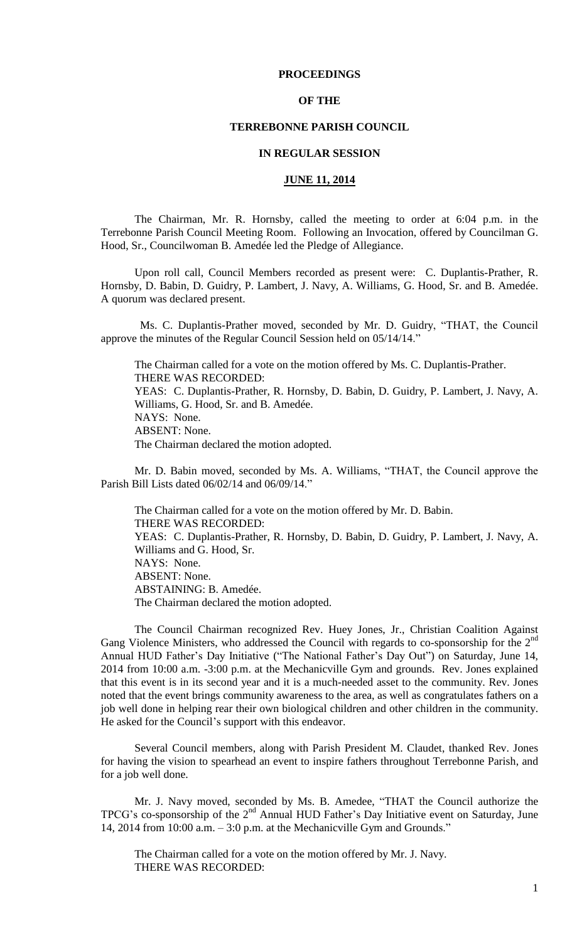## **PROCEEDINGS**

## **OF THE**

## **TERREBONNE PARISH COUNCIL**

### **IN REGULAR SESSION**

## **JUNE 11, 2014**

The Chairman, Mr. R. Hornsby, called the meeting to order at 6:04 p.m. in the Terrebonne Parish Council Meeting Room. Following an Invocation, offered by Councilman G. Hood, Sr., Councilwoman B. Amedée led the Pledge of Allegiance.

Upon roll call, Council Members recorded as present were: C. Duplantis-Prather, R. Hornsby, D. Babin, D. Guidry, P. Lambert, J. Navy, A. Williams, G. Hood, Sr. and B. Amedée. A quorum was declared present.

 Ms. C. Duplantis-Prather moved, seconded by Mr. D. Guidry, "THAT, the Council approve the minutes of the Regular Council Session held on 05/14/14."

The Chairman called for a vote on the motion offered by Ms. C. Duplantis-Prather. THERE WAS RECORDED: YEAS: C. Duplantis-Prather, R. Hornsby, D. Babin, D. Guidry, P. Lambert, J. Navy, A. Williams, G. Hood, Sr. and B. Amedée. NAYS: None. ABSENT: None. The Chairman declared the motion adopted.

Mr. D. Babin moved, seconded by Ms. A. Williams, "THAT, the Council approve the Parish Bill Lists dated 06/02/14 and 06/09/14."

The Chairman called for a vote on the motion offered by Mr. D. Babin. THERE WAS RECORDED: YEAS: C. Duplantis-Prather, R. Hornsby, D. Babin, D. Guidry, P. Lambert, J. Navy, A. Williams and G. Hood, Sr. NAYS: None. ABSENT: None. ABSTAINING: B. Amedée. The Chairman declared the motion adopted.

The Council Chairman recognized Rev. Huey Jones, Jr., Christian Coalition Against Gang Violence Ministers, who addressed the Council with regards to co-sponsorship for the  $2<sup>nd</sup>$ Annual HUD Father's Day Initiative ("The National Father's Day Out") on Saturday, June 14, 2014 from 10:00 a.m. -3:00 p.m. at the Mechanicville Gym and grounds. Rev. Jones explained that this event is in its second year and it is a much-needed asset to the community. Rev. Jones noted that the event brings community awareness to the area, as well as congratulates fathers on a job well done in helping rear their own biological children and other children in the community. He asked for the Council's support with this endeavor.

Several Council members, along with Parish President M. Claudet, thanked Rev. Jones for having the vision to spearhead an event to inspire fathers throughout Terrebonne Parish, and for a job well done.

Mr. J. Navy moved, seconded by Ms. B. Amedee, "THAT the Council authorize the TPCG's co-sponsorship of the 2<sup>nd</sup> Annual HUD Father's Day Initiative event on Saturday, June 14, 2014 from 10:00 a.m. – 3:0 p.m. at the Mechanicville Gym and Grounds."

The Chairman called for a vote on the motion offered by Mr. J. Navy. THERE WAS RECORDED: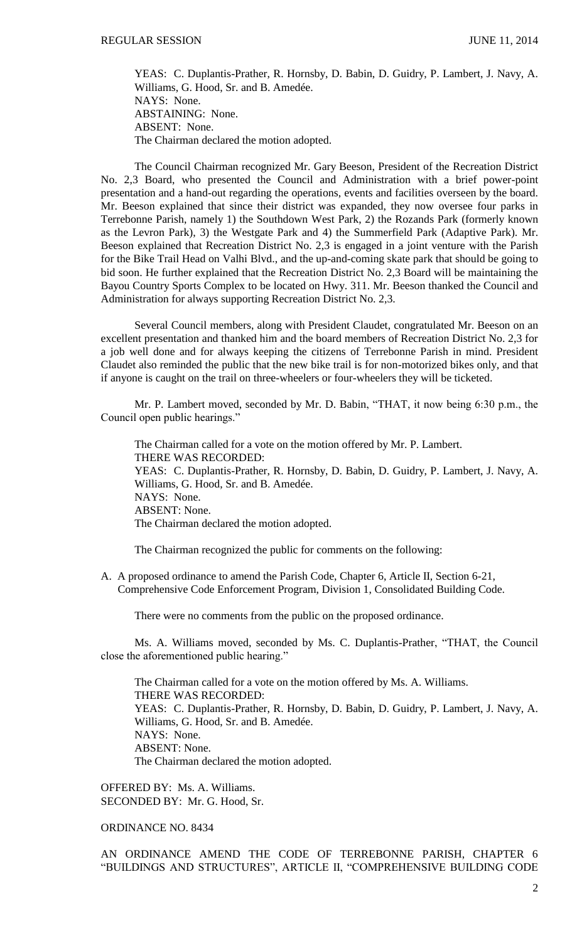YEAS: C. Duplantis-Prather, R. Hornsby, D. Babin, D. Guidry, P. Lambert, J. Navy, A. Williams, G. Hood, Sr. and B. Amedée. NAYS: None. ABSTAINING: None. ABSENT: None. The Chairman declared the motion adopted.

The Council Chairman recognized Mr. Gary Beeson, President of the Recreation District No. 2,3 Board, who presented the Council and Administration with a brief power-point presentation and a hand-out regarding the operations, events and facilities overseen by the board. Mr. Beeson explained that since their district was expanded, they now oversee four parks in Terrebonne Parish, namely 1) the Southdown West Park, 2) the Rozands Park (formerly known as the Levron Park), 3) the Westgate Park and 4) the Summerfield Park (Adaptive Park). Mr. Beeson explained that Recreation District No. 2,3 is engaged in a joint venture with the Parish for the Bike Trail Head on Valhi Blvd., and the up-and-coming skate park that should be going to bid soon. He further explained that the Recreation District No. 2,3 Board will be maintaining the Bayou Country Sports Complex to be located on Hwy. 311. Mr. Beeson thanked the Council and Administration for always supporting Recreation District No. 2,3.

Several Council members, along with President Claudet, congratulated Mr. Beeson on an excellent presentation and thanked him and the board members of Recreation District No. 2,3 for a job well done and for always keeping the citizens of Terrebonne Parish in mind. President Claudet also reminded the public that the new bike trail is for non-motorized bikes only, and that if anyone is caught on the trail on three-wheelers or four-wheelers they will be ticketed.

Mr. P. Lambert moved, seconded by Mr. D. Babin, "THAT, it now being 6:30 p.m., the Council open public hearings."

The Chairman called for a vote on the motion offered by Mr. P. Lambert. THERE WAS RECORDED: YEAS: C. Duplantis-Prather, R. Hornsby, D. Babin, D. Guidry, P. Lambert, J. Navy, A. Williams, G. Hood, Sr. and B. Amedée. NAYS: None. ABSENT: None. The Chairman declared the motion adopted.

The Chairman recognized the public for comments on the following:

A. A proposed ordinance to amend the Parish Code, Chapter 6, Article II, Section 6-21, Comprehensive Code Enforcement Program, Division 1, Consolidated Building Code.

There were no comments from the public on the proposed ordinance.

Ms. A. Williams moved, seconded by Ms. C. Duplantis-Prather, "THAT, the Council close the aforementioned public hearing."

The Chairman called for a vote on the motion offered by Ms. A. Williams. THERE WAS RECORDED: YEAS: C. Duplantis-Prather, R. Hornsby, D. Babin, D. Guidry, P. Lambert, J. Navy, A. Williams, G. Hood, Sr. and B. Amedée. NAYS: None. ABSENT: None. The Chairman declared the motion adopted.

OFFERED BY: Ms. A. Williams. SECONDED BY: Mr. G. Hood, Sr.

ORDINANCE NO. 8434

AN ORDINANCE AMEND THE CODE OF TERREBONNE PARISH, CHAPTER 6 "BUILDINGS AND STRUCTURES", ARTICLE II, "COMPREHENSIVE BUILDING CODE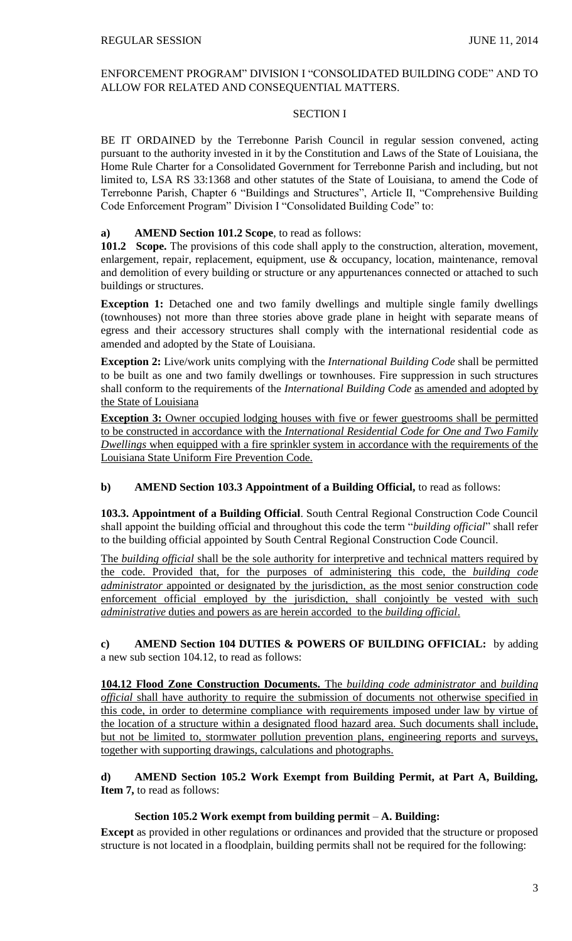## ENFORCEMENT PROGRAM" DIVISION I "CONSOLIDATED BUILDING CODE" AND TO ALLOW FOR RELATED AND CONSEQUENTIAL MATTERS.

## SECTION I

BE IT ORDAINED by the Terrebonne Parish Council in regular session convened, acting pursuant to the authority invested in it by the Constitution and Laws of the State of Louisiana, the Home Rule Charter for a Consolidated Government for Terrebonne Parish and including, but not limited to, LSA RS 33:1368 and other statutes of the State of Louisiana, to amend the Code of Terrebonne Parish, Chapter 6 "Buildings and Structures", Article II, "Comprehensive Building Code Enforcement Program" Division I "Consolidated Building Code" to:

## **a) AMEND Section 101.2 Scope**, to read as follows:

101.2 Scope. The provisions of this code shall apply to the construction, alteration, movement, enlargement, repair, replacement, equipment, use & occupancy, location, maintenance, removal and demolition of every building or structure or any appurtenances connected or attached to such buildings or structures.

**Exception 1:** Detached one and two family dwellings and multiple single family dwellings (townhouses) not more than three stories above grade plane in height with separate means of egress and their accessory structures shall comply with the international residential code as amended and adopted by the State of Louisiana.

**Exception 2:** Live/work units complying with the *International Building Code* shall be permitted to be built as one and two family dwellings or townhouses. Fire suppression in such structures shall conform to the requirements of the *International Building Code* as amended and adopted by the State of Louisiana

**Exception 3:** Owner occupied lodging houses with five or fewer guestrooms shall be permitted to be constructed in accordance with the *International Residential Code for One and Two Family Dwellings* when equipped with a fire sprinkler system in accordance with the requirements of the Louisiana State Uniform Fire Prevention Code.

# **b) AMEND Section 103.3 Appointment of a Building Official,** to read as follows:

**103.3. Appointment of a Building Official**. South Central Regional Construction Code Council shall appoint the building official and throughout this code the term "*building official*" shall refer to the building official appointed by South Central Regional Construction Code Council.

The *building official* shall be the sole authority for interpretive and technical matters required by the code. Provided that, for the purposes of administering this code, the *building code administrator* appointed or designated by the jurisdiction, as the most senior construction code enforcement official employed by the jurisdiction, shall conjointly be vested with such *administrative* duties and powers as are herein accorded to the *building official*.

**c) AMEND Section 104 DUTIES & POWERS OF BUILDING OFFICIAL:** by adding a new sub section 104.12, to read as follows:

**104.12 Flood Zone Construction Documents.** The *building code administrator* and *building official* shall have authority to require the submission of documents not otherwise specified in this code, in order to determine compliance with requirements imposed under law by virtue of the location of a structure within a designated flood hazard area. Such documents shall include, but not be limited to, stormwater pollution prevention plans, engineering reports and surveys, together with supporting drawings, calculations and photographs.

# **d) AMEND Section 105.2 Work Exempt from Building Permit, at Part A, Building, Item 7,** to read as follows:

# **Section 105.2 Work exempt from building permit** – **A. Building:**

**Except** as provided in other regulations or ordinances and provided that the structure or proposed structure is not located in a floodplain, building permits shall not be required for the following: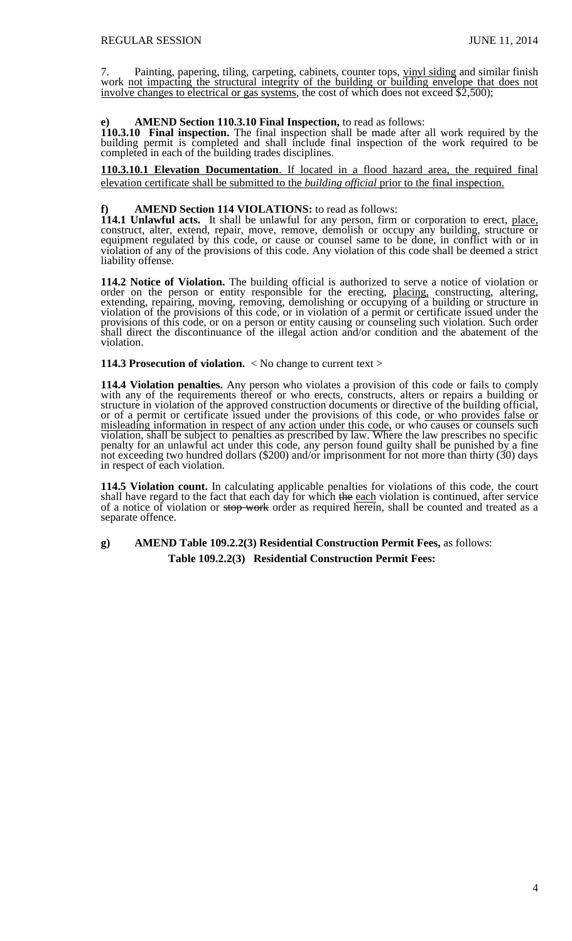7. Painting, papering, tiling, carpeting, cabinets, counter tops, vinyl siding and similar finish work not impacting the structural integrity of the building or building envelope that does not involve changes to electrical or gas systems, the cost of which does not exceed \$2,500);

### **e) AMEND Section 110.3.10 Final Inspection,** to read as follows:

**110.3.10 Final inspection.** The final inspection shall be made after all work required by the building permit is completed and shall include final inspection of the work required to be completed in each of the building trades disciplines.

**110.3.10.1 Elevation Documentation**. If located in a flood hazard area, the required final elevation certificate shall be submitted to the *building official* prior to the final inspection.

## **f) AMEND Section 114 VIOLATIONS:** to read as follows:

**114.1 Unlawful acts.** It shall be unlawful for any person, firm or corporation to erect, place, construct, alter, extend, repair, move, remove, demolish or occupy any building, structure or equipment regulated by this code, or cause or counsel same to be done, in conflict with or in violation of any of the provisions of this code. Any violation of this code shall be deemed a strict liability offense.

**114.2 Notice of Violation.** The building official is authorized to serve a notice of violation or order on the person or entity responsible for the erecting, placing, constructing, altering, extending, repairing, moving, removing, demolishing or occupying of a building or structure in violation of the provisions of this code, or in violation of a permit or certificate issued under the provisions of this code, or on a person or entity causing or counseling such violation. Such order shall direct the discontinuance of the illegal action and/or condition and the abatement of the violation.

**114.3 Prosecution of violation.** < No change to current text >

**114.4 Violation penalties.** Any person who violates a provision of this code or fails to comply with any of the requirements thereof or who erects, constructs, alters or repairs a building or structure in violation of the approved construction documents or directive of the building official, or of a permit or certificate issued under the provisions of this code, or who provides false or misleading information in respect of any action under this code, or who causes or counsels such violation, shall be subject to penalties as prescribed by law. Where the law prescribes no specific penalty for an unlawful act under this code, any person found guilty shall be punished by a fine not exceeding two hundred dollars (\$200) and/or imprisonment for not more than thirty (30) days in respect of each violation.

**114.5 Violation count.** In calculating applicable penalties for violations of this code, the court shall have regard to the fact that each day for which the each violation is continued, after service of a notice of violation or stop work order as required herein, shall be counted and treated as a separate offence.

**g) AMEND Table 109.2.2(3) Residential Construction Permit Fees,** as follows: **Table 109.2.2(3) Residential Construction Permit Fees:**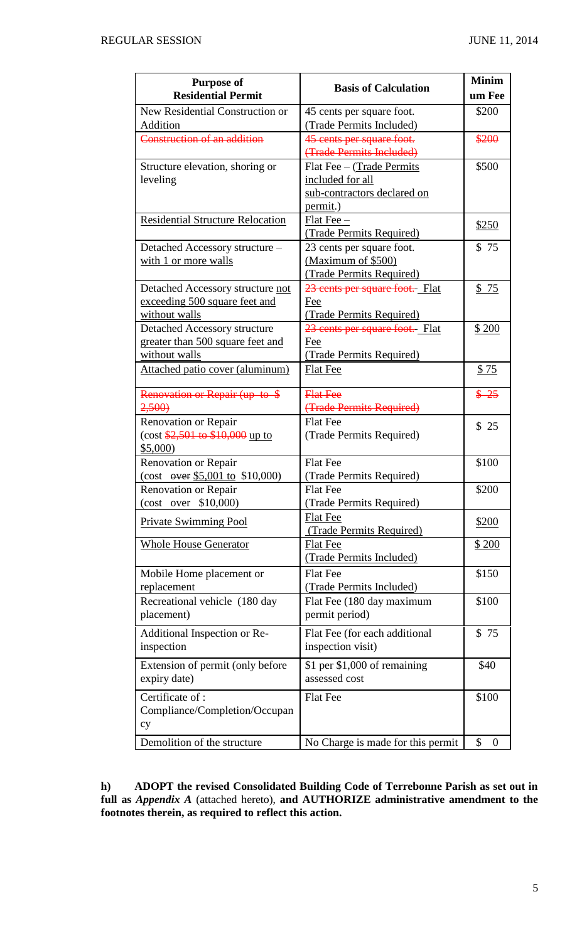| <b>Purpose of</b><br><b>Residential Permit</b>                                                     | <b>Basis of Calculation</b>                                                              | <b>Minim</b><br>um Fee |
|----------------------------------------------------------------------------------------------------|------------------------------------------------------------------------------------------|------------------------|
| New Residential Construction or<br>Addition                                                        | 45 cents per square foot.<br>(Trade Permits Included)                                    | \$200                  |
| Construction of an addition                                                                        | 45 cents per square foot.<br>(Trade Permits Included)                                    | \$200                  |
| Structure elevation, shoring or<br>leveling                                                        | Flat Fee - (Trade Permits<br>included for all<br>sub-contractors declared on<br>permit.) | \$500                  |
| <b>Residential Structure Relocation</b>                                                            | $Flat$ Fee $-$<br>(Trade Permits Required)                                               | \$250                  |
| Detached Accessory structure -<br>with 1 or more walls                                             | 23 cents per square foot.<br>(Maximum of \$500)<br>(Trade Permits Required)              | \$75                   |
| Detached Accessory structure not<br>exceeding 500 square feet and<br>without walls                 | 23 cents per square foot. Flat<br>Fee<br>(Trade Permits Required)                        | \$75                   |
| Detached Accessory structure<br>greater than 500 square feet and<br>without walls                  | 23 cents per square foot. Flat<br>Fee<br>(Trade Permits Required)                        | \$200                  |
| Attached patio cover (aluminum)                                                                    | <b>Flat Fee</b>                                                                          | \$75                   |
| Renovation or Repair (up to \$<br>2,500                                                            | <b>Flat Fee</b><br>(Trade Permits Required)                                              | $$ -25$                |
| Renovation or Repair<br>$(\cos \frac{$2,501}{0.0000})$ to $\frac{$2,501}{0.000}$ up to<br>\$5,000) | <b>Flat Fee</b><br>(Trade Permits Required)                                              | \$25                   |
| Renovation or Repair<br>(cost $\overline{over $5,001}$$ to \$10,000)                               | <b>Flat Fee</b><br>(Trade Permits Required)                                              | \$100                  |
| <b>Renovation or Repair</b><br>(cost over \$10,000)                                                | <b>Flat Fee</b><br>(Trade Permits Required)                                              | \$200                  |
| <b>Private Swimming Pool</b>                                                                       | <b>Flat Fee</b><br>(Trade Permits Required)                                              | \$200                  |
| <b>Whole House Generator</b>                                                                       | <b>Flat Fee</b><br>(Trade Permits Included)                                              | <u>\$200</u>           |
| Mobile Home placement or<br>replacement                                                            | <b>Flat Fee</b><br>(Trade Permits Included)                                              | \$150                  |
| Recreational vehicle (180 day<br>placement)                                                        | Flat Fee (180 day maximum<br>permit period)                                              | \$100                  |
| Additional Inspection or Re-<br>inspection                                                         | Flat Fee (for each additional<br>inspection visit)                                       | \$75                   |
| Extension of permit (only before<br>expiry date)                                                   | \$1 per $$1,000$ of remaining<br>assessed cost                                           | \$40                   |
| Certificate of:<br>Compliance/Completion/Occupan<br>cy                                             | <b>Flat Fee</b>                                                                          | \$100                  |
| Demolition of the structure                                                                        | No Charge is made for this permit                                                        | \$<br>$\boldsymbol{0}$ |

**h) ADOPT the revised Consolidated Building Code of Terrebonne Parish as set out in full as** *Appendix A* (attached hereto), **and AUTHORIZE administrative amendment to the footnotes therein, as required to reflect this action.**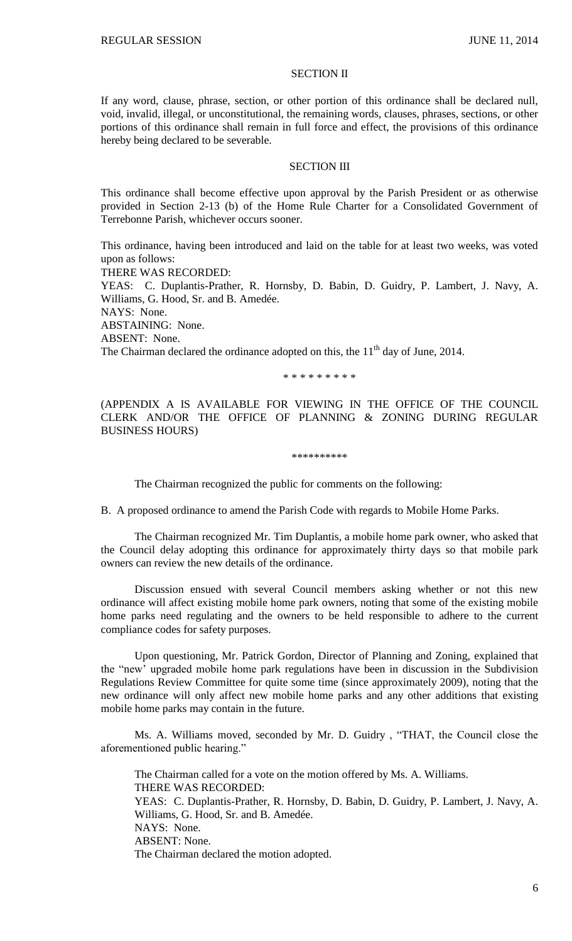## SECTION II

If any word, clause, phrase, section, or other portion of this ordinance shall be declared null, void, invalid, illegal, or unconstitutional, the remaining words, clauses, phrases, sections, or other portions of this ordinance shall remain in full force and effect, the provisions of this ordinance hereby being declared to be severable.

### SECTION III

This ordinance shall become effective upon approval by the Parish President or as otherwise provided in Section 2-13 (b) of the Home Rule Charter for a Consolidated Government of Terrebonne Parish, whichever occurs sooner.

This ordinance, having been introduced and laid on the table for at least two weeks, was voted upon as follows: THERE WAS RECORDED: YEAS: C. Duplantis-Prather, R. Hornsby, D. Babin, D. Guidry, P. Lambert, J. Navy, A. Williams, G. Hood, Sr. and B. Amedée. NAYS: None. ABSTAINING: None. ABSENT: None. The Chairman declared the ordinance adopted on this, the  $11<sup>th</sup>$  day of June, 2014.

\* \* \* \* \* \* \* \* \*

(APPENDIX A IS AVAILABLE FOR VIEWING IN THE OFFICE OF THE COUNCIL CLERK AND/OR THE OFFICE OF PLANNING & ZONING DURING REGULAR BUSINESS HOURS)

#### \*\*\*\*\*\*\*\*\*\*

The Chairman recognized the public for comments on the following:

B. A proposed ordinance to amend the Parish Code with regards to Mobile Home Parks.

The Chairman recognized Mr. Tim Duplantis, a mobile home park owner, who asked that the Council delay adopting this ordinance for approximately thirty days so that mobile park owners can review the new details of the ordinance.

Discussion ensued with several Council members asking whether or not this new ordinance will affect existing mobile home park owners, noting that some of the existing mobile home parks need regulating and the owners to be held responsible to adhere to the current compliance codes for safety purposes.

Upon questioning, Mr. Patrick Gordon, Director of Planning and Zoning, explained that the "new' upgraded mobile home park regulations have been in discussion in the Subdivision Regulations Review Committee for quite some time (since approximately 2009), noting that the new ordinance will only affect new mobile home parks and any other additions that existing mobile home parks may contain in the future.

Ms. A. Williams moved, seconded by Mr. D. Guidry , "THAT, the Council close the aforementioned public hearing."

The Chairman called for a vote on the motion offered by Ms. A. Williams. THERE WAS RECORDED: YEAS: C. Duplantis-Prather, R. Hornsby, D. Babin, D. Guidry, P. Lambert, J. Navy, A. Williams, G. Hood, Sr. and B. Amedée. NAYS: None. ABSENT: None. The Chairman declared the motion adopted.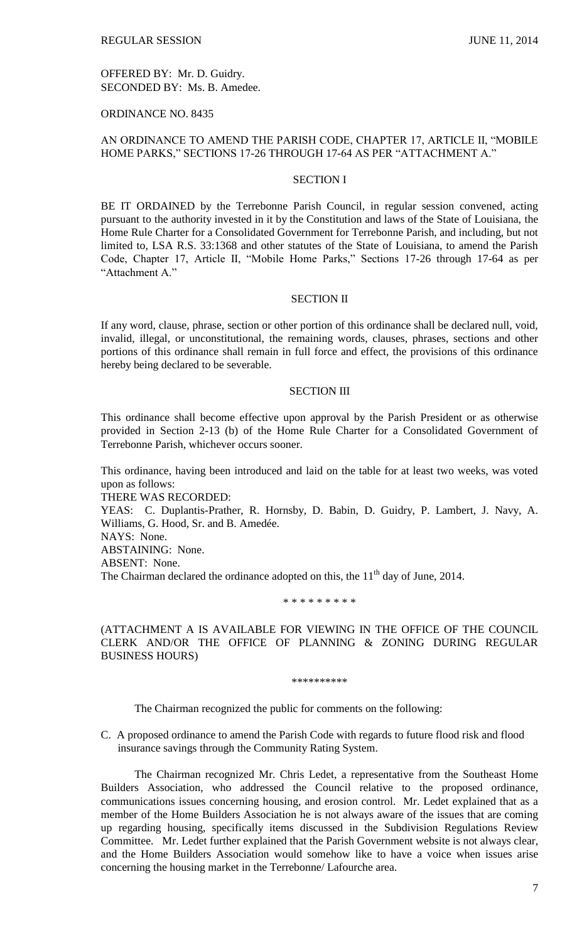OFFERED BY: Mr. D. Guidry. SECONDED BY: Ms. B. Amedee.

## ORDINANCE NO. 8435

## AN ORDINANCE TO AMEND THE PARISH CODE, CHAPTER 17, ARTICLE II, "MOBILE HOME PARKS," SECTIONS 17-26 THROUGH 17-64 AS PER "ATTACHMENT A."

## SECTION I

BE IT ORDAINED by the Terrebonne Parish Council, in regular session convened, acting pursuant to the authority invested in it by the Constitution and laws of the State of Louisiana, the Home Rule Charter for a Consolidated Government for Terrebonne Parish, and including, but not limited to, LSA R.S. 33:1368 and other statutes of the State of Louisiana, to amend the Parish Code, Chapter 17, Article II, "Mobile Home Parks," Sections 17-26 through 17-64 as per "Attachment A."

## SECTION II

If any word, clause, phrase, section or other portion of this ordinance shall be declared null, void, invalid, illegal, or unconstitutional, the remaining words, clauses, phrases, sections and other portions of this ordinance shall remain in full force and effect, the provisions of this ordinance hereby being declared to be severable.

#### SECTION III

This ordinance shall become effective upon approval by the Parish President or as otherwise provided in Section 2-13 (b) of the Home Rule Charter for a Consolidated Government of Terrebonne Parish, whichever occurs sooner.

This ordinance, having been introduced and laid on the table for at least two weeks, was voted upon as follows:

THERE WAS RECORDED:

YEAS: C. Duplantis-Prather, R. Hornsby, D. Babin, D. Guidry, P. Lambert, J. Navy, A. Williams, G. Hood, Sr. and B. Amedée.

NAYS: None.

ABSTAINING: None.

ABSENT: None.

The Chairman declared the ordinance adopted on this, the  $11<sup>th</sup>$  day of June, 2014.

\* \* \* \* \* \* \* \* \*

(ATTACHMENT A IS AVAILABLE FOR VIEWING IN THE OFFICE OF THE COUNCIL CLERK AND/OR THE OFFICE OF PLANNING & ZONING DURING REGULAR BUSINESS HOURS)

\*\*\*\*\*\*\*\*\*\*

The Chairman recognized the public for comments on the following:

C. A proposed ordinance to amend the Parish Code with regards to future flood risk and flood insurance savings through the Community Rating System.

The Chairman recognized Mr. Chris Ledet, a representative from the Southeast Home Builders Association, who addressed the Council relative to the proposed ordinance, communications issues concerning housing, and erosion control. Mr. Ledet explained that as a member of the Home Builders Association he is not always aware of the issues that are coming up regarding housing, specifically items discussed in the Subdivision Regulations Review Committee. Mr. Ledet further explained that the Parish Government website is not always clear, and the Home Builders Association would somehow like to have a voice when issues arise concerning the housing market in the Terrebonne/ Lafourche area.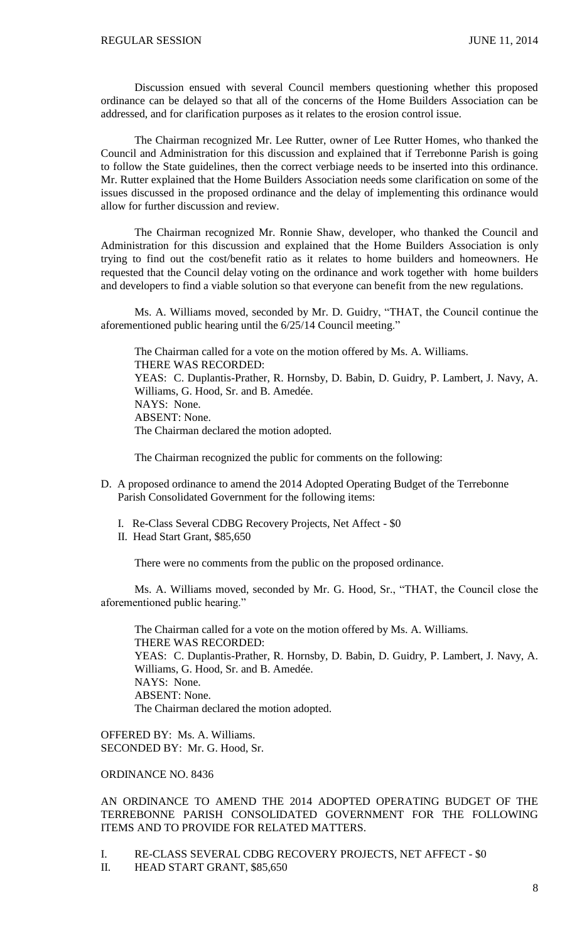Discussion ensued with several Council members questioning whether this proposed ordinance can be delayed so that all of the concerns of the Home Builders Association can be addressed, and for clarification purposes as it relates to the erosion control issue.

The Chairman recognized Mr. Lee Rutter, owner of Lee Rutter Homes, who thanked the Council and Administration for this discussion and explained that if Terrebonne Parish is going to follow the State guidelines, then the correct verbiage needs to be inserted into this ordinance. Mr. Rutter explained that the Home Builders Association needs some clarification on some of the issues discussed in the proposed ordinance and the delay of implementing this ordinance would allow for further discussion and review.

The Chairman recognized Mr. Ronnie Shaw, developer, who thanked the Council and Administration for this discussion and explained that the Home Builders Association is only trying to find out the cost/benefit ratio as it relates to home builders and homeowners. He requested that the Council delay voting on the ordinance and work together with home builders and developers to find a viable solution so that everyone can benefit from the new regulations.

Ms. A. Williams moved, seconded by Mr. D. Guidry, "THAT, the Council continue the aforementioned public hearing until the 6/25/14 Council meeting."

The Chairman called for a vote on the motion offered by Ms. A. Williams. THERE WAS RECORDED: YEAS: C. Duplantis-Prather, R. Hornsby, D. Babin, D. Guidry, P. Lambert, J. Navy, A. Williams, G. Hood, Sr. and B. Amedée. NAYS: None. ABSENT: None. The Chairman declared the motion adopted.

The Chairman recognized the public for comments on the following:

- D. A proposed ordinance to amend the 2014 Adopted Operating Budget of the Terrebonne Parish Consolidated Government for the following items:
	- I. Re-Class Several CDBG Recovery Projects, Net Affect \$0
	- II. Head Start Grant, \$85,650

There were no comments from the public on the proposed ordinance.

Ms. A. Williams moved, seconded by Mr. G. Hood, Sr., "THAT, the Council close the aforementioned public hearing."

The Chairman called for a vote on the motion offered by Ms. A. Williams. THERE WAS RECORDED: YEAS: C. Duplantis-Prather, R. Hornsby, D. Babin, D. Guidry, P. Lambert, J. Navy, A. Williams, G. Hood, Sr. and B. Amedée. NAYS: None. ABSENT: None. The Chairman declared the motion adopted.

OFFERED BY: Ms. A. Williams. SECONDED BY: Mr. G. Hood, Sr.

## ORDINANCE NO. 8436

AN ORDINANCE TO AMEND THE 2014 ADOPTED OPERATING BUDGET OF THE TERREBONNE PARISH CONSOLIDATED GOVERNMENT FOR THE FOLLOWING ITEMS AND TO PROVIDE FOR RELATED MATTERS.

I. RE-CLASS SEVERAL CDBG RECOVERY PROJECTS, NET AFFECT - \$0

II. HEAD START GRANT, \$85,650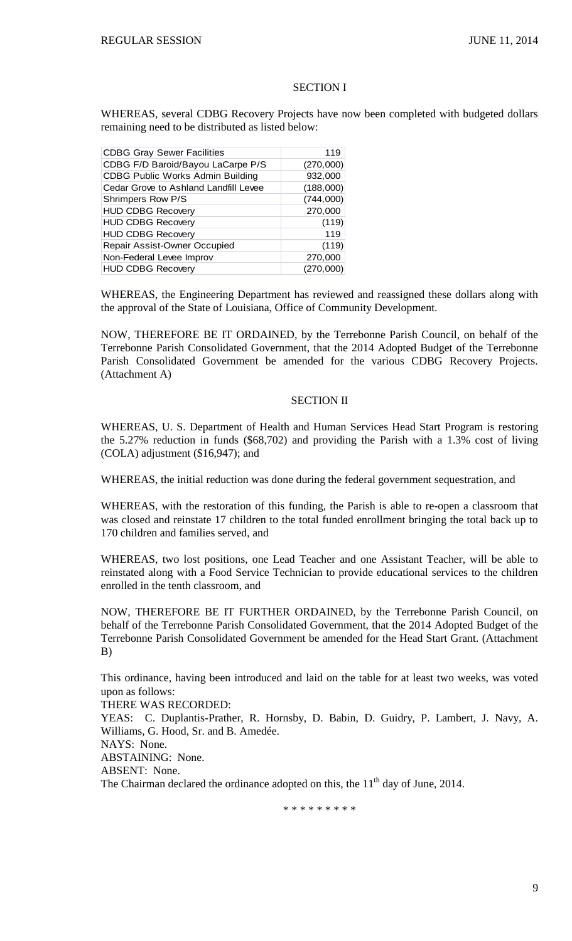### SECTION I

WHEREAS, several CDBG Recovery Projects have now been completed with budgeted dollars remaining need to be distributed as listed below:

| <b>CDBG Gray Sewer Facilities</b>     | 119       |
|---------------------------------------|-----------|
| CDBG F/D Baroid/Bayou LaCarpe P/S     | (270,000) |
| CDBG Public Works Admin Building      | 932,000   |
| Cedar Grove to Ashland Landfill Levee | (188,000) |
| Shrimpers Row P/S                     | (744,000) |
| <b>HUD CDBG Recovery</b>              | 270,000   |
| <b>HUD CDBG Recovery</b>              | (119)     |
| <b>HUD CDBG Recovery</b>              | 119       |
| Repair Assist-Owner Occupied          | (119)     |
| Non-Federal Levee Improv              | 270,000   |
| <b>HUD CDBG Recovery</b>              | (270,000) |

WHEREAS, the Engineering Department has reviewed and reassigned these dollars along with the approval of the State of Louisiana, Office of Community Development.

NOW, THEREFORE BE IT ORDAINED, by the Terrebonne Parish Council, on behalf of the Terrebonne Parish Consolidated Government, that the 2014 Adopted Budget of the Terrebonne Parish Consolidated Government be amended for the various CDBG Recovery Projects. (Attachment A)

## SECTION II

WHEREAS, U. S. Department of Health and Human Services Head Start Program is restoring the 5.27% reduction in funds (\$68,702) and providing the Parish with a 1.3% cost of living (COLA) adjustment (\$16,947); and

WHEREAS, the initial reduction was done during the federal government sequestration, and

WHEREAS, with the restoration of this funding, the Parish is able to re-open a classroom that was closed and reinstate 17 children to the total funded enrollment bringing the total back up to 170 children and families served, and

WHEREAS, two lost positions, one Lead Teacher and one Assistant Teacher, will be able to reinstated along with a Food Service Technician to provide educational services to the children enrolled in the tenth classroom, and

NOW, THEREFORE BE IT FURTHER ORDAINED, by the Terrebonne Parish Council, on behalf of the Terrebonne Parish Consolidated Government, that the 2014 Adopted Budget of the Terrebonne Parish Consolidated Government be amended for the Head Start Grant. (Attachment B)

This ordinance, having been introduced and laid on the table for at least two weeks, was voted upon as follows:

THERE WAS RECORDED:

YEAS: C. Duplantis-Prather, R. Hornsby, D. Babin, D. Guidry, P. Lambert, J. Navy, A. Williams, G. Hood, Sr. and B. Amedée.

NAYS: None.

ABSTAINING: None.

ABSENT: None.

The Chairman declared the ordinance adopted on this, the  $11<sup>th</sup>$  day of June, 2014.

\* \* \* \* \* \* \* \* \*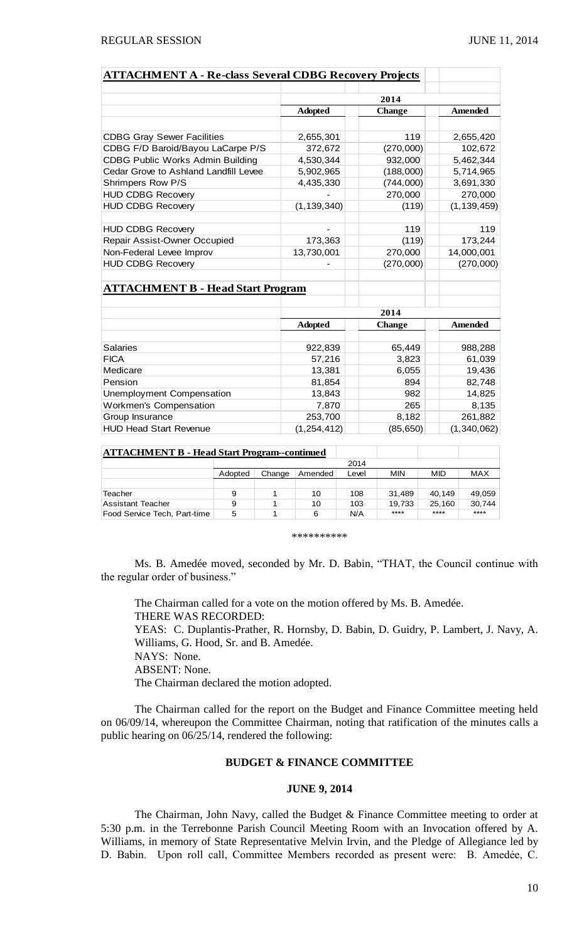| <b>ATTACHMENT A - Re-class Several CDBG Recovery Projects</b> |                |               |                |  |  |
|---------------------------------------------------------------|----------------|---------------|----------------|--|--|
|                                                               |                |               |                |  |  |
|                                                               |                | 2014          |                |  |  |
|                                                               | <b>Adopted</b> | <b>Change</b> | <b>Amended</b> |  |  |
|                                                               |                |               |                |  |  |
| <b>CDBG Gray Sewer Facilities</b>                             | 2,655,301      | 119           | 2,655,420      |  |  |
| CDBG F/D Baroid/Bayou LaCarpe P/S                             | 372,672        | (270,000)     | 102,672        |  |  |
| <b>CDBG Public Works Admin Building</b>                       | 4,530,344      | 932,000       | 5,462,344      |  |  |
| Cedar Grove to Ashland Landfill Levee                         | 5,902,965      | (188,000)     | 5,714,965      |  |  |
| Shrimpers Row P/S                                             | 4,435,330      | (744,000)     | 3,691,330      |  |  |
| <b>HUD CDBG Recovery</b>                                      |                | 270,000       | 270,000        |  |  |
| <b>HUD CDBG Recovery</b>                                      | (1, 139, 340)  | (119)         | (1, 139, 459)  |  |  |
|                                                               |                |               |                |  |  |
| <b>HUD CDBG Recovery</b>                                      |                | 119           | 119            |  |  |
| Repair Assist-Owner Occupied                                  | 173,363        | (119)         | 173,244        |  |  |
| Non-Federal Levee Improv                                      | 13,730,001     | 270,000       | 14,000,001     |  |  |
| <b>HUD CDBG Recovery</b>                                      |                | (270,000)     | (270,000)      |  |  |
|                                                               |                |               |                |  |  |
| <b>ATTACHMENT B - Head Start Program</b>                      |                |               |                |  |  |
|                                                               |                |               |                |  |  |
|                                                               |                | 2014          |                |  |  |
|                                                               | <b>Adopted</b> | <b>Change</b> | Amended        |  |  |
|                                                               |                |               |                |  |  |
| Salaries                                                      | 922,839        | 65,449        | 988,288        |  |  |
| <b>FICA</b>                                                   | 57,216         | 3,823         | 61,039         |  |  |
| Medicare                                                      | 13,381         | 6,055         | 19,436         |  |  |
| Pension                                                       | 81,854         | 894           | 82,748         |  |  |
| Unemployment Compensation                                     | 13,843         | 982           | 14,825         |  |  |
| Workmen's Compensation                                        | 7,870          | 265           | 8,135          |  |  |
| Group Insurance                                               | 253,700        | 8,182         | 261,882        |  |  |
| <b>HUD Head Start Revenue</b>                                 | (1, 254, 412)  | (85, 650)     | (1,340,062)    |  |  |

| <b>ATTACHMENT B - Head Start Program--continued</b> |         |        |         |       |        |        |        |
|-----------------------------------------------------|---------|--------|---------|-------|--------|--------|--------|
|                                                     | 2014    |        |         |       |        |        |        |
|                                                     | Adopted | Change | Amended | Level | MIN    | MID    | MAX    |
|                                                     |         |        |         |       |        |        |        |
| Teacher                                             | 9       |        | 10      | 108   | 31.489 | 40.149 | 49.059 |
| Assistant Teacher                                   | 9       |        | 10      | 103   | 19.733 | 25.160 | 30.744 |
| Food Service Tech, Part-time                        | 5       |        | 6       | N/A   | ****   | ****   | ****   |

\*\*\*\*\*\*\*\*\*\*

Ms. B. Amedée moved, seconded by Mr. D. Babin, "THAT, the Council continue with the regular order of business."

The Chairman called for a vote on the motion offered by Ms. B. Amedée. THERE WAS RECORDED: YEAS: C. Duplantis-Prather, R. Hornsby, D. Babin, D. Guidry, P. Lambert, J. Navy, A. Williams, G. Hood, Sr. and B. Amedée. NAYS: None. ABSENT: None. The Chairman declared the motion adopted.

The Chairman called for the report on the Budget and Finance Committee meeting held on 06/09/14, whereupon the Committee Chairman, noting that ratification of the minutes calls a public hearing on 06/25/14, rendered the following:

### **BUDGET & FINANCE COMMITTEE**

## **JUNE 9, 2014**

The Chairman, John Navy, called the Budget & Finance Committee meeting to order at 5:30 p.m. in the Terrebonne Parish Council Meeting Room with an Invocation offered by A. Williams, in memory of State Representative Melvin Irvin, and the Pledge of Allegiance led by D. Babin. Upon roll call, Committee Members recorded as present were: B. Amedẻe, C.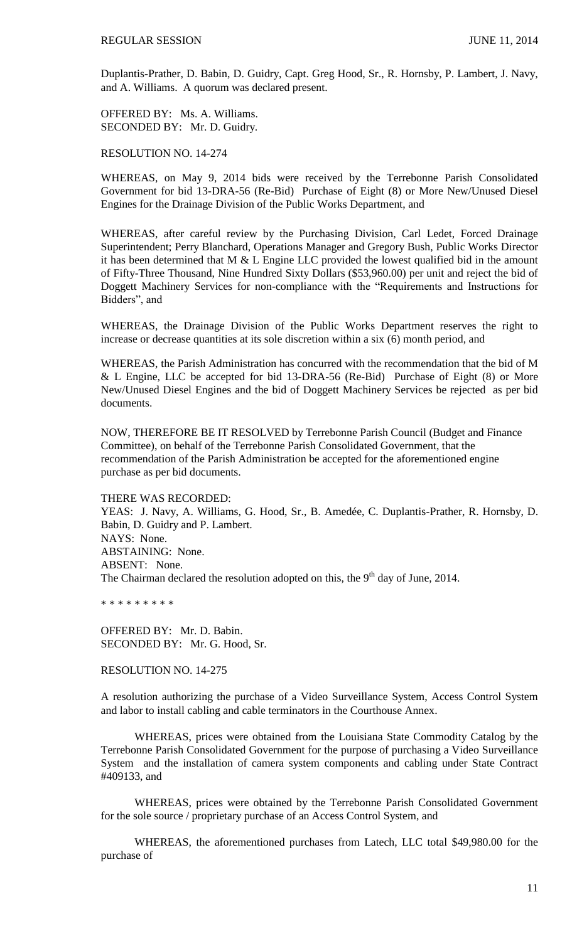Duplantis-Prather, D. Babin, D. Guidry, Capt. Greg Hood, Sr., R. Hornsby, P. Lambert, J. Navy, and A. Williams. A quorum was declared present.

OFFERED BY: Ms. A. Williams. SECONDED BY: Mr. D. Guidry.

RESOLUTION NO. 14-274

WHEREAS, on May 9, 2014 bids were received by the Terrebonne Parish Consolidated Government for bid 13-DRA-56 (Re-Bid) Purchase of Eight (8) or More New/Unused Diesel Engines for the Drainage Division of the Public Works Department, and

WHEREAS, after careful review by the Purchasing Division, Carl Ledet, Forced Drainage Superintendent; Perry Blanchard, Operations Manager and Gregory Bush, Public Works Director it has been determined that M  $&$  L Engine LLC provided the lowest qualified bid in the amount of Fifty-Three Thousand, Nine Hundred Sixty Dollars (\$53,960.00) per unit and reject the bid of Doggett Machinery Services for non-compliance with the "Requirements and Instructions for Bidders", and

WHEREAS, the Drainage Division of the Public Works Department reserves the right to increase or decrease quantities at its sole discretion within a six (6) month period, and

WHEREAS, the Parish Administration has concurred with the recommendation that the bid of M & L Engine, LLC be accepted for bid 13-DRA-56 (Re-Bid) Purchase of Eight (8) or More New/Unused Diesel Engines and the bid of Doggett Machinery Services be rejected as per bid documents.

NOW, THEREFORE BE IT RESOLVED by Terrebonne Parish Council (Budget and Finance Committee), on behalf of the Terrebonne Parish Consolidated Government, that the recommendation of the Parish Administration be accepted for the aforementioned engine purchase as per bid documents.

THERE WAS RECORDED:

YEAS: J. Navy, A. Williams, G. Hood, Sr., B. Amedée, C. Duplantis-Prather, R. Hornsby, D. Babin, D. Guidry and P. Lambert. NAYS: None. ABSTAINING: None. ABSENT: None. The Chairman declared the resolution adopted on this, the  $9<sup>th</sup>$  day of June, 2014.

\* \* \* \* \* \* \* \* \*

OFFERED BY: Mr. D. Babin. SECONDED BY: Mr. G. Hood, Sr.

RESOLUTION NO. 14-275

A resolution authorizing the purchase of a Video Surveillance System, Access Control System and labor to install cabling and cable terminators in the Courthouse Annex.

WHEREAS, prices were obtained from the Louisiana State Commodity Catalog by the Terrebonne Parish Consolidated Government for the purpose of purchasing a Video Surveillance System and the installation of camera system components and cabling under State Contract #409133, and

WHEREAS, prices were obtained by the Terrebonne Parish Consolidated Government for the sole source / proprietary purchase of an Access Control System, and

WHEREAS, the aforementioned purchases from Latech, LLC total \$49,980.00 for the purchase of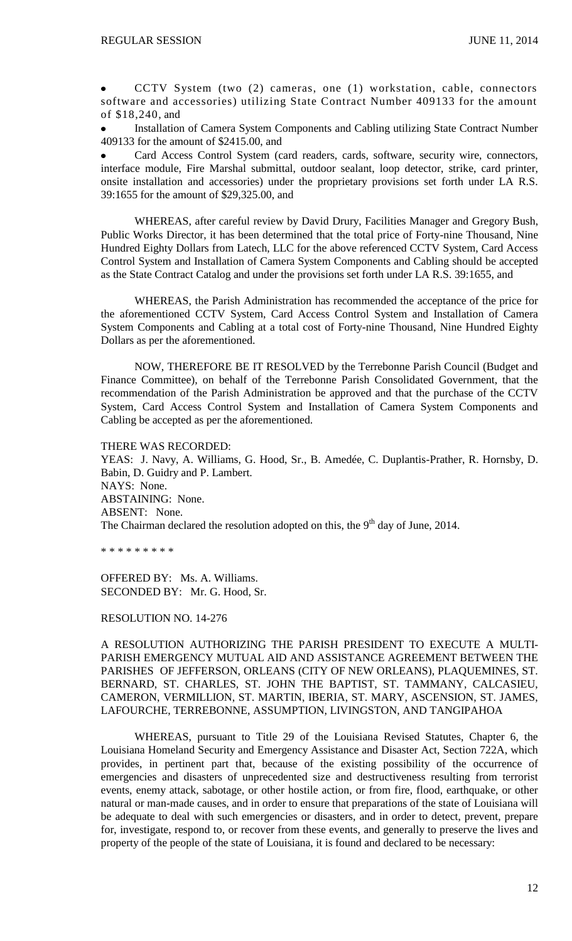CCTV System (two (2) cameras, one (1) workstation, cable, connectors  $\bullet$ software and accessories) utilizing State Contract Number 409133 for the amount of \$18,240, and

Installation of Camera System Components and Cabling utilizing State Contract Number 409133 for the amount of \$2415.00, and

Card Access Control System (card readers, cards, software, security wire, connectors, interface module, Fire Marshal submittal, outdoor sealant, loop detector, strike, card printer, onsite installation and accessories) under the proprietary provisions set forth under LA R.S. 39:1655 for the amount of \$29,325.00, and

WHEREAS, after careful review by David Drury, Facilities Manager and Gregory Bush, Public Works Director, it has been determined that the total price of Forty-nine Thousand, Nine Hundred Eighty Dollars from Latech, LLC for the above referenced CCTV System, Card Access Control System and Installation of Camera System Components and Cabling should be accepted as the State Contract Catalog and under the provisions set forth under LA R.S. 39:1655, and

WHEREAS, the Parish Administration has recommended the acceptance of the price for the aforementioned CCTV System, Card Access Control System and Installation of Camera System Components and Cabling at a total cost of Forty-nine Thousand, Nine Hundred Eighty Dollars as per the aforementioned.

NOW, THEREFORE BE IT RESOLVED by the Terrebonne Parish Council (Budget and Finance Committee), on behalf of the Terrebonne Parish Consolidated Government, that the recommendation of the Parish Administration be approved and that the purchase of the CCTV System, Card Access Control System and Installation of Camera System Components and Cabling be accepted as per the aforementioned.

THERE WAS RECORDED: YEAS: J. Navy, A. Williams, G. Hood, Sr., B. Amedée, C. Duplantis-Prather, R. Hornsby, D. Babin, D. Guidry and P. Lambert. NAYS: None. ABSTAINING: None. ABSENT: None. The Chairman declared the resolution adopted on this, the  $9<sup>th</sup>$  day of June, 2014.

\* \* \* \* \* \* \* \* \*

OFFERED BY: Ms. A. Williams. SECONDED BY: Mr. G. Hood, Sr.

RESOLUTION NO. 14-276

A RESOLUTION AUTHORIZING THE PARISH PRESIDENT TO EXECUTE A MULTI-PARISH EMERGENCY MUTUAL AID AND ASSISTANCE AGREEMENT BETWEEN THE PARISHES OF JEFFERSON, ORLEANS (CITY OF NEW ORLEANS), PLAQUEMINES, ST. BERNARD, ST. CHARLES, ST. JOHN THE BAPTIST, ST. TAMMANY, CALCASIEU, CAMERON, VERMILLION, ST. MARTIN, IBERIA, ST. MARY, ASCENSION, ST. JAMES, LAFOURCHE, TERREBONNE, ASSUMPTION, LIVINGSTON, AND TANGIPAHOA

WHEREAS, pursuant to Title 29 of the Louisiana Revised Statutes, Chapter 6, the Louisiana Homeland Security and Emergency Assistance and Disaster Act, Section 722A, which provides, in pertinent part that, because of the existing possibility of the occurrence of emergencies and disasters of unprecedented size and destructiveness resulting from terrorist events, enemy attack, sabotage, or other hostile action, or from fire, flood, earthquake, or other natural or man-made causes, and in order to ensure that preparations of the state of Louisiana will be adequate to deal with such emergencies or disasters, and in order to detect, prevent, prepare for, investigate, respond to, or recover from these events, and generally to preserve the lives and property of the people of the state of Louisiana, it is found and declared to be necessary: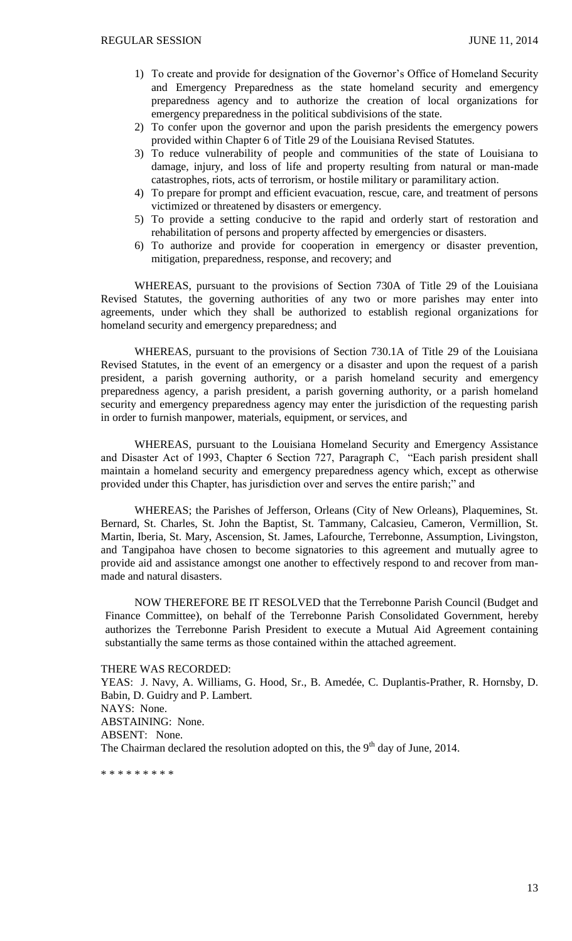- 1) To create and provide for designation of the Governor's Office of Homeland Security and Emergency Preparedness as the state homeland security and emergency preparedness agency and to authorize the creation of local organizations for emergency preparedness in the political subdivisions of the state.
- 2) To confer upon the governor and upon the parish presidents the emergency powers provided within Chapter 6 of Title 29 of the Louisiana Revised Statutes.
- 3) To reduce vulnerability of people and communities of the state of Louisiana to damage, injury, and loss of life and property resulting from natural or man-made catastrophes, riots, acts of terrorism, or hostile military or paramilitary action.
- 4) To prepare for prompt and efficient evacuation, rescue, care, and treatment of persons victimized or threatened by disasters or emergency.
- 5) To provide a setting conducive to the rapid and orderly start of restoration and rehabilitation of persons and property affected by emergencies or disasters.
- 6) To authorize and provide for cooperation in emergency or disaster prevention, mitigation, preparedness, response, and recovery; and

WHEREAS, pursuant to the provisions of Section 730A of Title 29 of the Louisiana Revised Statutes, the governing authorities of any two or more parishes may enter into agreements, under which they shall be authorized to establish regional organizations for homeland security and emergency preparedness; and

WHEREAS, pursuant to the provisions of Section 730.1A of Title 29 of the Louisiana Revised Statutes, in the event of an emergency or a disaster and upon the request of a parish president, a parish governing authority, or a parish homeland security and emergency preparedness agency, a parish president, a parish governing authority, or a parish homeland security and emergency preparedness agency may enter the jurisdiction of the requesting parish in order to furnish manpower, materials, equipment, or services, and

WHEREAS, pursuant to the Louisiana Homeland Security and Emergency Assistance and Disaster Act of 1993, Chapter 6 Section 727, Paragraph C, "Each parish president shall maintain a homeland security and emergency preparedness agency which, except as otherwise provided under this Chapter, has jurisdiction over and serves the entire parish;" and

WHEREAS; the Parishes of Jefferson, Orleans (City of New Orleans), Plaquemines, St. Bernard, St. Charles, St. John the Baptist, St. Tammany, Calcasieu, Cameron, Vermillion, St. Martin, Iberia, St. Mary, Ascension, St. James, Lafourche, Terrebonne, Assumption, Livingston, and Tangipahoa have chosen to become signatories to this agreement and mutually agree to provide aid and assistance amongst one another to effectively respond to and recover from manmade and natural disasters.

NOW THEREFORE BE IT RESOLVED that the Terrebonne Parish Council (Budget and Finance Committee), on behalf of the Terrebonne Parish Consolidated Government, hereby authorizes the Terrebonne Parish President to execute a Mutual Aid Agreement containing substantially the same terms as those contained within the attached agreement.

THERE WAS RECORDED:

YEAS: J. Navy, A. Williams, G. Hood, Sr., B. Amedée, C. Duplantis-Prather, R. Hornsby, D. Babin, D. Guidry and P. Lambert. NAYS: None. ABSTAINING: None. ABSENT: None. The Chairman declared the resolution adopted on this, the  $9<sup>th</sup>$  day of June, 2014.

\* \* \* \* \* \* \* \* \*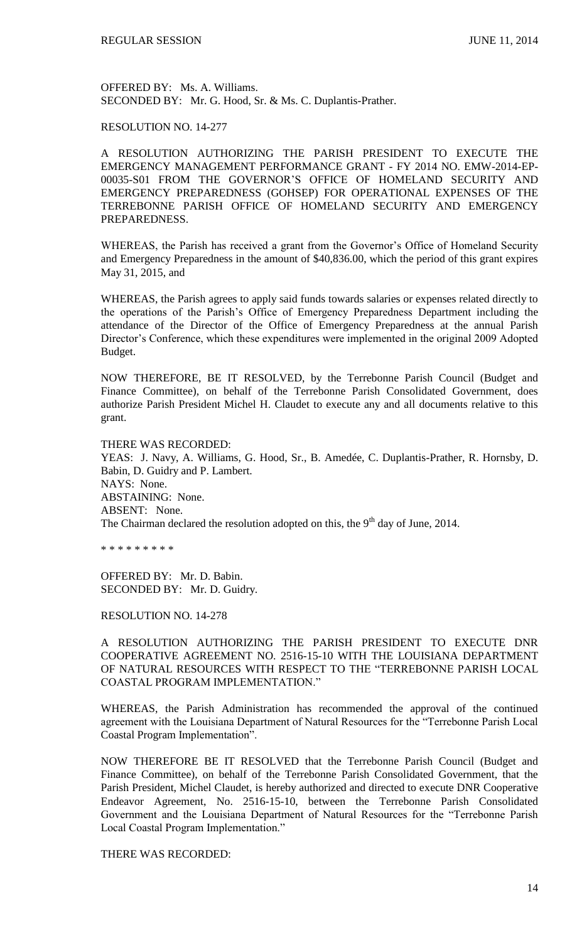OFFERED BY: Ms. A. Williams. SECONDED BY: Mr. G. Hood, Sr. & Ms. C. Duplantis-Prather.

## RESOLUTION NO. 14-277

A RESOLUTION AUTHORIZING THE PARISH PRESIDENT TO EXECUTE THE EMERGENCY MANAGEMENT PERFORMANCE GRANT - FY 2014 NO. EMW-2014-EP-00035-S01 FROM THE GOVERNOR'S OFFICE OF HOMELAND SECURITY AND EMERGENCY PREPAREDNESS (GOHSEP) FOR OPERATIONAL EXPENSES OF THE TERREBONNE PARISH OFFICE OF HOMELAND SECURITY AND EMERGENCY PREPAREDNESS.

WHEREAS, the Parish has received a grant from the Governor's Office of Homeland Security and Emergency Preparedness in the amount of \$40,836.00, which the period of this grant expires May 31, 2015, and

WHEREAS, the Parish agrees to apply said funds towards salaries or expenses related directly to the operations of the Parish's Office of Emergency Preparedness Department including the attendance of the Director of the Office of Emergency Preparedness at the annual Parish Director's Conference, which these expenditures were implemented in the original 2009 Adopted Budget.

NOW THEREFORE, BE IT RESOLVED, by the Terrebonne Parish Council (Budget and Finance Committee), on behalf of the Terrebonne Parish Consolidated Government, does authorize Parish President Michel H. Claudet to execute any and all documents relative to this grant.

#### THERE WAS RECORDED:

YEAS: J. Navy, A. Williams, G. Hood, Sr., B. Amedée, C. Duplantis-Prather, R. Hornsby, D. Babin, D. Guidry and P. Lambert. NAYS: None. ABSTAINING: None. ABSENT: None. The Chairman declared the resolution adopted on this, the  $9<sup>th</sup>$  day of June, 2014.

\* \* \* \* \* \* \* \* \*

OFFERED BY: Mr. D. Babin. SECONDED BY: Mr. D. Guidry.

RESOLUTION NO. 14-278

A RESOLUTION AUTHORIZING THE PARISH PRESIDENT TO EXECUTE DNR COOPERATIVE AGREEMENT NO. 2516-15-10 WITH THE LOUISIANA DEPARTMENT OF NATURAL RESOURCES WITH RESPECT TO THE "TERREBONNE PARISH LOCAL COASTAL PROGRAM IMPLEMENTATION."

WHEREAS, the Parish Administration has recommended the approval of the continued agreement with the Louisiana Department of Natural Resources for the "Terrebonne Parish Local Coastal Program Implementation".

NOW THEREFORE BE IT RESOLVED that the Terrebonne Parish Council (Budget and Finance Committee), on behalf of the Terrebonne Parish Consolidated Government, that the Parish President, Michel Claudet, is hereby authorized and directed to execute DNR Cooperative Endeavor Agreement, No. 2516-15-10, between the Terrebonne Parish Consolidated Government and the Louisiana Department of Natural Resources for the "Terrebonne Parish Local Coastal Program Implementation."

THERE WAS RECORDED: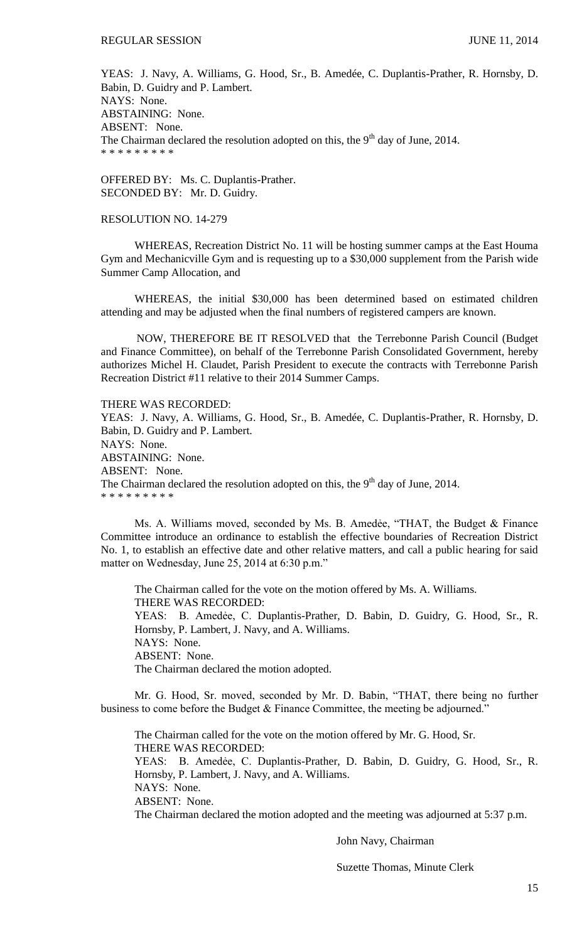YEAS: J. Navy, A. Williams, G. Hood, Sr., B. Amedée, C. Duplantis-Prather, R. Hornsby, D. Babin, D. Guidry and P. Lambert. NAYS: None. ABSTAINING: None. ABSENT: None. The Chairman declared the resolution adopted on this, the  $9<sup>th</sup>$  day of June, 2014. \* \* \* \* \* \* \* \* \*

OFFERED BY: Ms. C. Duplantis-Prather. SECONDED BY: Mr. D. Guidry.

### RESOLUTION NO. 14-279

WHEREAS, Recreation District No. 11 will be hosting summer camps at the East Houma Gym and Mechanicville Gym and is requesting up to a \$30,000 supplement from the Parish wide Summer Camp Allocation, and

WHEREAS, the initial \$30,000 has been determined based on estimated children attending and may be adjusted when the final numbers of registered campers are known.

NOW, THEREFORE BE IT RESOLVED that the Terrebonne Parish Council (Budget and Finance Committee), on behalf of the Terrebonne Parish Consolidated Government, hereby authorizes Michel H. Claudet, Parish President to execute the contracts with Terrebonne Parish Recreation District #11 relative to their 2014 Summer Camps.

THERE WAS RECORDED:

YEAS: J. Navy, A. Williams, G. Hood, Sr., B. Amedée, C. Duplantis-Prather, R. Hornsby, D. Babin, D. Guidry and P. Lambert. NAYS: None. ABSTAINING: None. ABSENT: None. The Chairman declared the resolution adopted on this, the  $9<sup>th</sup>$  day of June, 2014. \* \* \* \* \* \* \* \* \*

Ms. A. Williams moved, seconded by Ms. B. Amedẻe, "THAT, the Budget & Finance Committee introduce an ordinance to establish the effective boundaries of Recreation District No. 1, to establish an effective date and other relative matters, and call a public hearing for said matter on Wednesday, June 25, 2014 at 6:30 p.m."

The Chairman called for the vote on the motion offered by Ms. A. Williams. THERE WAS RECORDED: YEAS: B. Amedẻe, C. Duplantis-Prather, D. Babin, D. Guidry, G. Hood, Sr., R. Hornsby, P. Lambert, J. Navy, and A. Williams. NAYS: None. ABSENT: None. The Chairman declared the motion adopted.

Mr. G. Hood, Sr. moved, seconded by Mr. D. Babin, "THAT, there being no further business to come before the Budget & Finance Committee, the meeting be adjourned."

The Chairman called for the vote on the motion offered by Mr. G. Hood, Sr. THERE WAS RECORDED: YEAS: B. Amedẻe, C. Duplantis-Prather, D. Babin, D. Guidry, G. Hood, Sr., R. Hornsby, P. Lambert, J. Navy, and A. Williams. NAYS: None. ABSENT: None. The Chairman declared the motion adopted and the meeting was adjourned at 5:37 p.m.

John Navy, Chairman

Suzette Thomas, Minute Clerk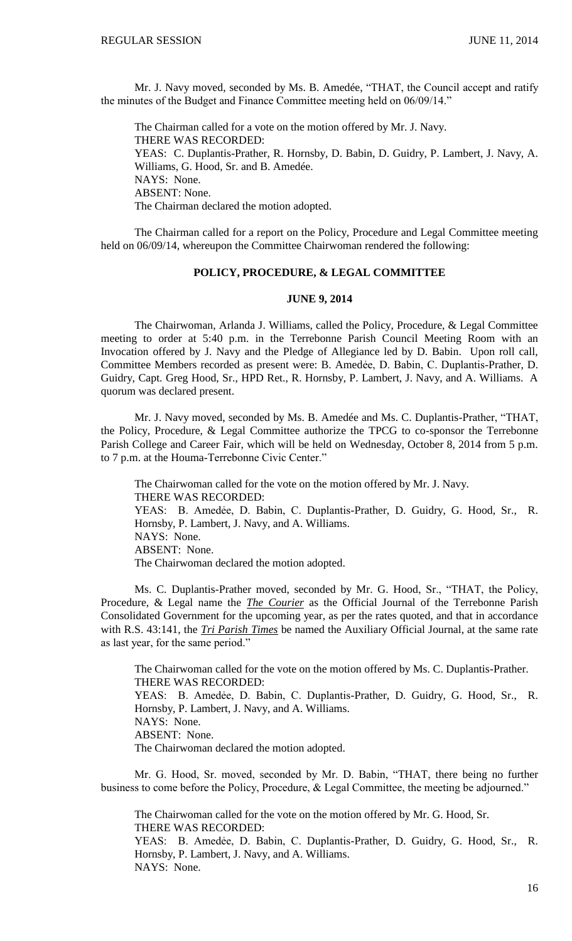Mr. J. Navy moved, seconded by Ms. B. Amedée, "THAT, the Council accept and ratify the minutes of the Budget and Finance Committee meeting held on 06/09/14."

The Chairman called for a vote on the motion offered by Mr. J. Navy. THERE WAS RECORDED: YEAS: C. Duplantis-Prather, R. Hornsby, D. Babin, D. Guidry, P. Lambert, J. Navy, A. Williams, G. Hood, Sr. and B. Amedée. NAYS: None. ABSENT: None. The Chairman declared the motion adopted.

The Chairman called for a report on the Policy, Procedure and Legal Committee meeting held on 06/09/14, whereupon the Committee Chairwoman rendered the following:

# **POLICY, PROCEDURE, & LEGAL COMMITTEE**

### **JUNE 9, 2014**

The Chairwoman, Arlanda J. Williams, called the Policy, Procedure, & Legal Committee meeting to order at 5:40 p.m. in the Terrebonne Parish Council Meeting Room with an Invocation offered by J. Navy and the Pledge of Allegiance led by D. Babin. Upon roll call, Committee Members recorded as present were: B. Amedẻe, D. Babin, C. Duplantis-Prather, D. Guidry, Capt. Greg Hood, Sr., HPD Ret., R. Hornsby, P. Lambert, J. Navy, and A. Williams. A quorum was declared present.

Mr. J. Navy moved, seconded by Ms. B. Amedée and Ms. C. Duplantis-Prather, "THAT, the Policy, Procedure, & Legal Committee authorize the TPCG to co-sponsor the Terrebonne Parish College and Career Fair, which will be held on Wednesday, October 8, 2014 from 5 p.m. to 7 p.m. at the Houma-Terrebonne Civic Center."

The Chairwoman called for the vote on the motion offered by Mr. J. Navy. THERE WAS RECORDED: YEAS: B. Amedẻe, D. Babin, C. Duplantis-Prather, D. Guidry, G. Hood, Sr., R. Hornsby, P. Lambert, J. Navy, and A. Williams. NAYS: None. ABSENT: None. The Chairwoman declared the motion adopted.

Ms. C. Duplantis-Prather moved, seconded by Mr. G. Hood, Sr., "THAT, the Policy, Procedure, & Legal name the *The Courier* as the Official Journal of the Terrebonne Parish Consolidated Government for the upcoming year, as per the rates quoted, and that in accordance with R.S. 43:141, the *Tri Parish Times* be named the Auxiliary Official Journal, at the same rate as last year, for the same period."

The Chairwoman called for the vote on the motion offered by Ms. C. Duplantis-Prather. THERE WAS RECORDED: YEAS: B. Amedẻe, D. Babin, C. Duplantis-Prather, D. Guidry, G. Hood, Sr., R. Hornsby, P. Lambert, J. Navy, and A. Williams. NAYS: None. ABSENT: None. The Chairwoman declared the motion adopted.

Mr. G. Hood, Sr. moved, seconded by Mr. D. Babin, "THAT, there being no further business to come before the Policy, Procedure, & Legal Committee, the meeting be adjourned."

The Chairwoman called for the vote on the motion offered by Mr. G. Hood, Sr. THERE WAS RECORDED:

YEAS: B. Amedẻe, D. Babin, C. Duplantis-Prather, D. Guidry, G. Hood, Sr., R. Hornsby, P. Lambert, J. Navy, and A. Williams. NAYS: None.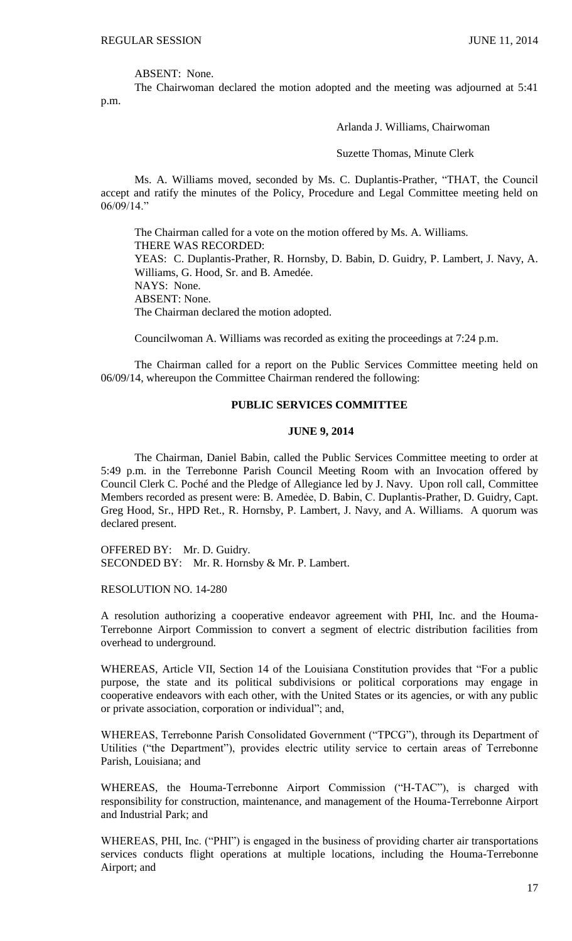ABSENT: None.

The Chairwoman declared the motion adopted and the meeting was adjourned at 5:41 p.m.

Arlanda J. Williams, Chairwoman

Suzette Thomas, Minute Clerk

Ms. A. Williams moved, seconded by Ms. C. Duplantis-Prather, "THAT, the Council accept and ratify the minutes of the Policy, Procedure and Legal Committee meeting held on 06/09/14."

The Chairman called for a vote on the motion offered by Ms. A. Williams. THERE WAS RECORDED: YEAS: C. Duplantis-Prather, R. Hornsby, D. Babin, D. Guidry, P. Lambert, J. Navy, A. Williams, G. Hood, Sr. and B. Amedée. NAYS: None. ABSENT: None. The Chairman declared the motion adopted.

Councilwoman A. Williams was recorded as exiting the proceedings at 7:24 p.m.

The Chairman called for a report on the Public Services Committee meeting held on 06/09/14, whereupon the Committee Chairman rendered the following:

### **PUBLIC SERVICES COMMITTEE**

## **JUNE 9, 2014**

The Chairman, Daniel Babin, called the Public Services Committee meeting to order at 5:49 p.m. in the Terrebonne Parish Council Meeting Room with an Invocation offered by Council Clerk C. Poché and the Pledge of Allegiance led by J. Navy. Upon roll call, Committee Members recorded as present were: B. Amedẻe, D. Babin, C. Duplantis-Prather, D. Guidry, Capt. Greg Hood, Sr., HPD Ret., R. Hornsby, P. Lambert, J. Navy, and A. Williams. A quorum was declared present.

OFFERED BY: Mr. D. Guidry. SECONDED BY: Mr. R. Hornsby & Mr. P. Lambert.

RESOLUTION NO. 14-280

A resolution authorizing a cooperative endeavor agreement with PHI, Inc. and the Houma-Terrebonne Airport Commission to convert a segment of electric distribution facilities from overhead to underground.

WHEREAS, Article VII, Section 14 of the Louisiana Constitution provides that "For a public purpose, the state and its political subdivisions or political corporations may engage in cooperative endeavors with each other, with the United States or its agencies, or with any public or private association, corporation or individual"; and,

WHEREAS, Terrebonne Parish Consolidated Government ("TPCG"), through its Department of Utilities ("the Department"), provides electric utility service to certain areas of Terrebonne Parish, Louisiana; and

WHEREAS, the Houma-Terrebonne Airport Commission ("H-TAC"), is charged with responsibility for construction, maintenance, and management of the Houma-Terrebonne Airport and Industrial Park; and

WHEREAS, PHI, Inc. ("PHI") is engaged in the business of providing charter air transportations services conducts flight operations at multiple locations, including the Houma-Terrebonne Airport; and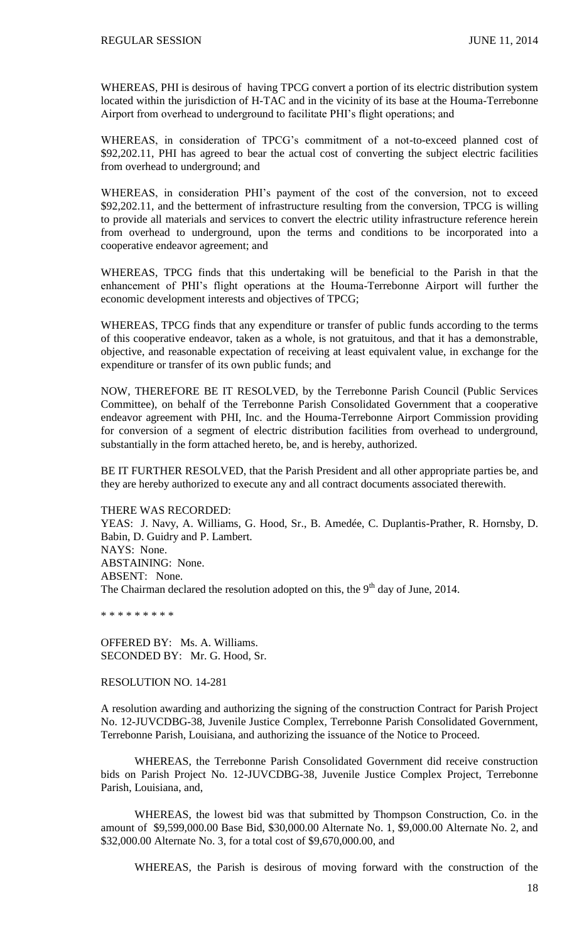WHEREAS, PHI is desirous of having TPCG convert a portion of its electric distribution system located within the jurisdiction of H-TAC and in the vicinity of its base at the Houma-Terrebonne Airport from overhead to underground to facilitate PHI's flight operations; and

WHEREAS, in consideration of TPCG's commitment of a not-to-exceed planned cost of \$92,202.11, PHI has agreed to bear the actual cost of converting the subject electric facilities from overhead to underground; and

WHEREAS, in consideration PHI's payment of the cost of the conversion, not to exceed \$92,202.11, and the betterment of infrastructure resulting from the conversion, TPCG is willing to provide all materials and services to convert the electric utility infrastructure reference herein from overhead to underground, upon the terms and conditions to be incorporated into a cooperative endeavor agreement; and

WHEREAS, TPCG finds that this undertaking will be beneficial to the Parish in that the enhancement of PHI's flight operations at the Houma-Terrebonne Airport will further the economic development interests and objectives of TPCG;

WHEREAS, TPCG finds that any expenditure or transfer of public funds according to the terms of this cooperative endeavor, taken as a whole, is not gratuitous, and that it has a demonstrable, objective, and reasonable expectation of receiving at least equivalent value, in exchange for the expenditure or transfer of its own public funds; and

NOW, THEREFORE BE IT RESOLVED, by the Terrebonne Parish Council (Public Services Committee), on behalf of the Terrebonne Parish Consolidated Government that a cooperative endeavor agreement with PHI, Inc. and the Houma-Terrebonne Airport Commission providing for conversion of a segment of electric distribution facilities from overhead to underground, substantially in the form attached hereto, be, and is hereby, authorized.

BE IT FURTHER RESOLVED, that the Parish President and all other appropriate parties be, and they are hereby authorized to execute any and all contract documents associated therewith.

THERE WAS RECORDED:

YEAS: J. Navy, A. Williams, G. Hood, Sr., B. Amedée, C. Duplantis-Prather, R. Hornsby, D. Babin, D. Guidry and P. Lambert. NAYS: None. ABSTAINING: None. ABSENT: None. The Chairman declared the resolution adopted on this, the  $9<sup>th</sup>$  day of June, 2014.

\* \* \* \* \* \* \* \* \*

OFFERED BY: Ms. A. Williams. SECONDED BY: Mr. G. Hood, Sr.

RESOLUTION NO. 14-281

A resolution awarding and authorizing the signing of the construction Contract for Parish Project No. 12-JUVCDBG-38, Juvenile Justice Complex, Terrebonne Parish Consolidated Government, Terrebonne Parish, Louisiana, and authorizing the issuance of the Notice to Proceed.

WHEREAS, the Terrebonne Parish Consolidated Government did receive construction bids on Parish Project No. 12-JUVCDBG-38, Juvenile Justice Complex Project, Terrebonne Parish, Louisiana, and,

WHEREAS, the lowest bid was that submitted by Thompson Construction, Co. in the amount of \$9,599,000.00 Base Bid, \$30,000.00 Alternate No. 1, \$9,000.00 Alternate No. 2, and \$32,000.00 Alternate No. 3, for a total cost of \$9,670,000.00, and

WHEREAS, the Parish is desirous of moving forward with the construction of the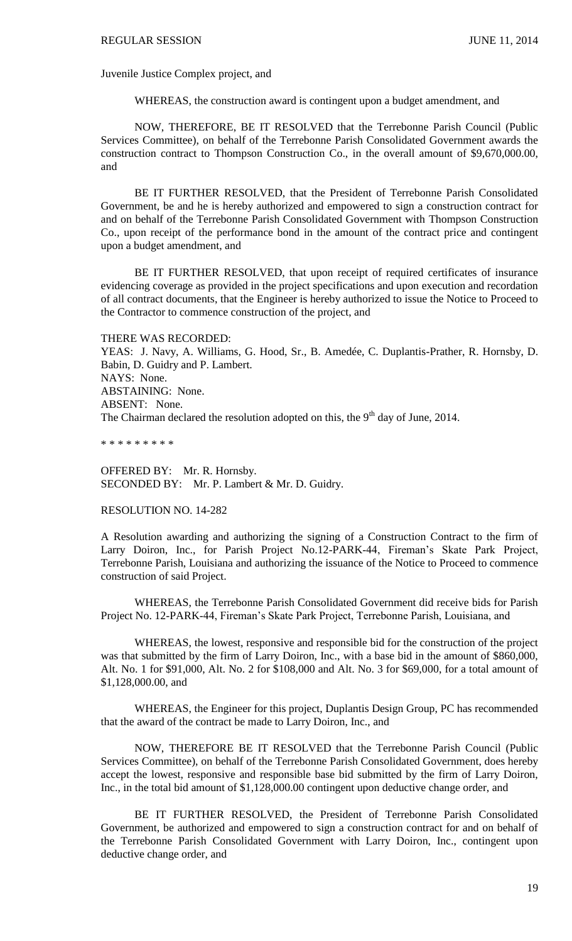Juvenile Justice Complex project, and

WHEREAS, the construction award is contingent upon a budget amendment, and

NOW, THEREFORE, BE IT RESOLVED that the Terrebonne Parish Council (Public Services Committee), on behalf of the Terrebonne Parish Consolidated Government awards the construction contract to Thompson Construction Co., in the overall amount of \$9,670,000.00, and

BE IT FURTHER RESOLVED, that the President of Terrebonne Parish Consolidated Government, be and he is hereby authorized and empowered to sign a construction contract for and on behalf of the Terrebonne Parish Consolidated Government with Thompson Construction Co., upon receipt of the performance bond in the amount of the contract price and contingent upon a budget amendment, and

BE IT FURTHER RESOLVED, that upon receipt of required certificates of insurance evidencing coverage as provided in the project specifications and upon execution and recordation of all contract documents, that the Engineer is hereby authorized to issue the Notice to Proceed to the Contractor to commence construction of the project, and

THERE WAS RECORDED:

YEAS: J. Navy, A. Williams, G. Hood, Sr., B. Amedée, C. Duplantis-Prather, R. Hornsby, D. Babin, D. Guidry and P. Lambert. NAYS: None. ABSTAINING: None. ABSENT: None. The Chairman declared the resolution adopted on this, the  $9<sup>th</sup>$  day of June, 2014.

\* \* \* \* \* \* \* \* \*

OFFERED BY: Mr. R. Hornsby. SECONDED BY: Mr. P. Lambert & Mr. D. Guidry.

RESOLUTION NO. 14-282

A Resolution awarding and authorizing the signing of a Construction Contract to the firm of Larry Doiron, Inc., for Parish Project No.12-PARK-44, Fireman's Skate Park Project, Terrebonne Parish, Louisiana and authorizing the issuance of the Notice to Proceed to commence construction of said Project.

WHEREAS, the Terrebonne Parish Consolidated Government did receive bids for Parish Project No. 12-PARK-44, Fireman's Skate Park Project, Terrebonne Parish, Louisiana, and

WHEREAS, the lowest, responsive and responsible bid for the construction of the project was that submitted by the firm of Larry Doiron, Inc., with a base bid in the amount of \$860,000, Alt. No. 1 for \$91,000, Alt. No. 2 for \$108,000 and Alt. No. 3 for \$69,000, for a total amount of \$1,128,000.00, and

WHEREAS, the Engineer for this project, Duplantis Design Group, PC has recommended that the award of the contract be made to Larry Doiron, Inc., and

NOW, THEREFORE BE IT RESOLVED that the Terrebonne Parish Council (Public Services Committee), on behalf of the Terrebonne Parish Consolidated Government, does hereby accept the lowest, responsive and responsible base bid submitted by the firm of Larry Doiron, Inc., in the total bid amount of \$1,128,000.00 contingent upon deductive change order, and

BE IT FURTHER RESOLVED, the President of Terrebonne Parish Consolidated Government, be authorized and empowered to sign a construction contract for and on behalf of the Terrebonne Parish Consolidated Government with Larry Doiron, Inc., contingent upon deductive change order, and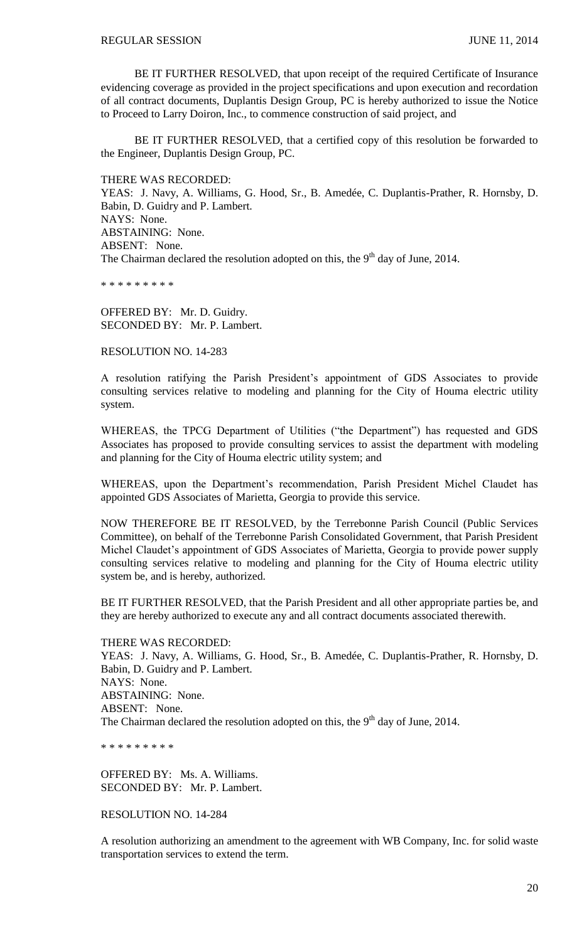BE IT FURTHER RESOLVED, that upon receipt of the required Certificate of Insurance evidencing coverage as provided in the project specifications and upon execution and recordation of all contract documents, Duplantis Design Group, PC is hereby authorized to issue the Notice to Proceed to Larry Doiron, Inc., to commence construction of said project, and

BE IT FURTHER RESOLVED, that a certified copy of this resolution be forwarded to the Engineer, Duplantis Design Group, PC.

THERE WAS RECORDED:

YEAS: J. Navy, A. Williams, G. Hood, Sr., B. Amedée, C. Duplantis-Prather, R. Hornsby, D. Babin, D. Guidry and P. Lambert. NAYS: None. ABSTAINING: None. ABSENT: None. The Chairman declared the resolution adopted on this, the  $9<sup>th</sup>$  day of June, 2014.

\* \* \* \* \* \* \* \* \*

OFFERED BY: Mr. D. Guidry. SECONDED BY: Mr. P. Lambert.

RESOLUTION NO. 14-283

A resolution ratifying the Parish President's appointment of GDS Associates to provide consulting services relative to modeling and planning for the City of Houma electric utility system.

WHEREAS, the TPCG Department of Utilities ("the Department") has requested and GDS Associates has proposed to provide consulting services to assist the department with modeling and planning for the City of Houma electric utility system; and

WHEREAS, upon the Department's recommendation, Parish President Michel Claudet has appointed GDS Associates of Marietta, Georgia to provide this service.

NOW THEREFORE BE IT RESOLVED, by the Terrebonne Parish Council (Public Services Committee), on behalf of the Terrebonne Parish Consolidated Government, that Parish President Michel Claudet's appointment of GDS Associates of Marietta, Georgia to provide power supply consulting services relative to modeling and planning for the City of Houma electric utility system be, and is hereby, authorized.

BE IT FURTHER RESOLVED, that the Parish President and all other appropriate parties be, and they are hereby authorized to execute any and all contract documents associated therewith.

THERE WAS RECORDED:

YEAS: J. Navy, A. Williams, G. Hood, Sr., B. Amedée, C. Duplantis-Prather, R. Hornsby, D. Babin, D. Guidry and P. Lambert. NAYS: None. ABSTAINING: None. ABSENT: None. The Chairman declared the resolution adopted on this, the  $9<sup>th</sup>$  day of June, 2014.

\* \* \* \* \* \* \* \* \*

OFFERED BY: Ms. A. Williams. SECONDED BY: Mr. P. Lambert.

RESOLUTION NO. 14-284

A resolution authorizing an amendment to the agreement with WB Company, Inc. for solid waste transportation services to extend the term.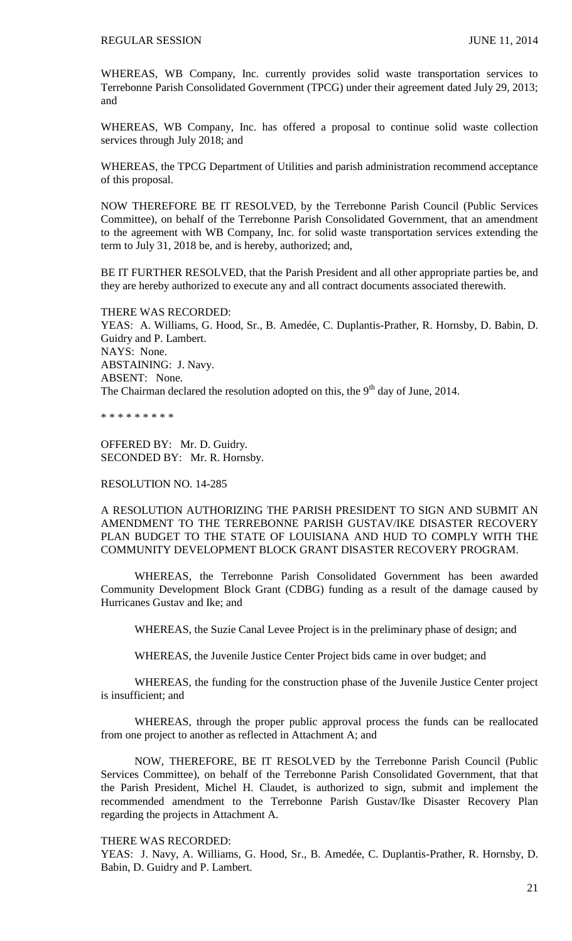WHEREAS, WB Company, Inc. currently provides solid waste transportation services to Terrebonne Parish Consolidated Government (TPCG) under their agreement dated July 29, 2013; and

WHEREAS, WB Company, Inc. has offered a proposal to continue solid waste collection services through July 2018; and

WHEREAS, the TPCG Department of Utilities and parish administration recommend acceptance of this proposal.

NOW THEREFORE BE IT RESOLVED, by the Terrebonne Parish Council (Public Services Committee), on behalf of the Terrebonne Parish Consolidated Government, that an amendment to the agreement with WB Company, Inc. for solid waste transportation services extending the term to July 31, 2018 be, and is hereby, authorized; and,

BE IT FURTHER RESOLVED, that the Parish President and all other appropriate parties be, and they are hereby authorized to execute any and all contract documents associated therewith.

THERE WAS RECORDED: YEAS: A. Williams, G. Hood, Sr., B. Amedée, C. Duplantis-Prather, R. Hornsby, D. Babin, D. Guidry and P. Lambert. NAYS: None. ABSTAINING: J. Navy. ABSENT: None. The Chairman declared the resolution adopted on this, the  $9<sup>th</sup>$  day of June, 2014.

\* \* \* \* \* \* \* \* \*

OFFERED BY: Mr. D. Guidry. SECONDED BY: Mr. R. Hornsby.

## RESOLUTION NO. 14-285

A RESOLUTION AUTHORIZING THE PARISH PRESIDENT TO SIGN AND SUBMIT AN AMENDMENT TO THE TERREBONNE PARISH GUSTAV/IKE DISASTER RECOVERY PLAN BUDGET TO THE STATE OF LOUISIANA AND HUD TO COMPLY WITH THE COMMUNITY DEVELOPMENT BLOCK GRANT DISASTER RECOVERY PROGRAM.

WHEREAS, the Terrebonne Parish Consolidated Government has been awarded Community Development Block Grant (CDBG) funding as a result of the damage caused by Hurricanes Gustav and Ike; and

WHEREAS, the Suzie Canal Levee Project is in the preliminary phase of design; and

WHEREAS, the Juvenile Justice Center Project bids came in over budget; and

WHEREAS, the funding for the construction phase of the Juvenile Justice Center project is insufficient; and

WHEREAS, through the proper public approval process the funds can be reallocated from one project to another as reflected in Attachment A; and

NOW, THEREFORE, BE IT RESOLVED by the Terrebonne Parish Council (Public Services Committee), on behalf of the Terrebonne Parish Consolidated Government, that that the Parish President, Michel H. Claudet, is authorized to sign, submit and implement the recommended amendment to the Terrebonne Parish Gustav/Ike Disaster Recovery Plan regarding the projects in Attachment A.

### THERE WAS RECORDED:

YEAS: J. Navy, A. Williams, G. Hood, Sr., B. Amedée, C. Duplantis-Prather, R. Hornsby, D. Babin, D. Guidry and P. Lambert.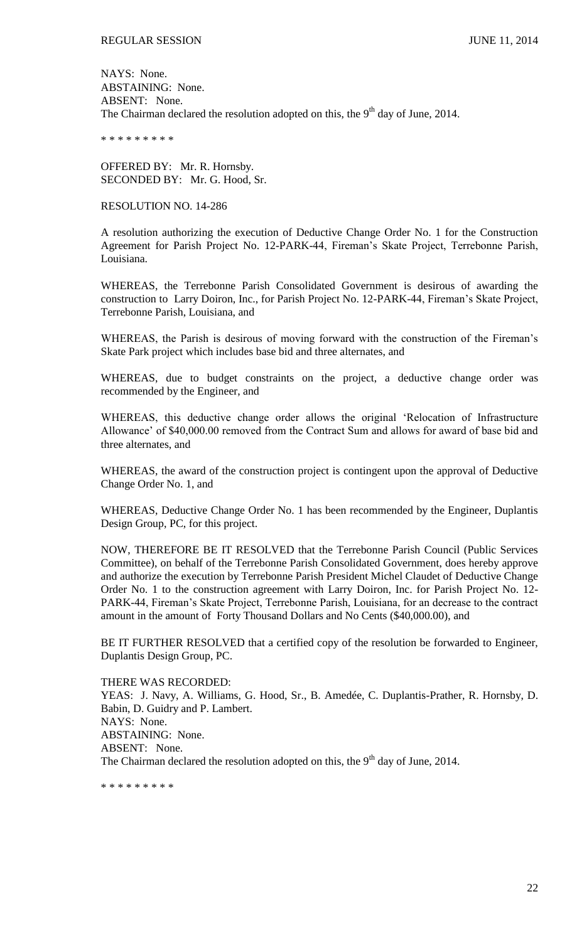NAYS: None. ABSTAINING: None. ABSENT: None. The Chairman declared the resolution adopted on this, the  $9<sup>th</sup>$  day of June, 2014.

\* \* \* \* \* \* \* \* \*

OFFERED BY: Mr. R. Hornsby. SECONDED BY: Mr. G. Hood, Sr.

### RESOLUTION NO. 14-286

A resolution authorizing the execution of Deductive Change Order No. 1 for the Construction Agreement for Parish Project No. 12-PARK-44, Fireman's Skate Project, Terrebonne Parish, Louisiana.

WHEREAS, the Terrebonne Parish Consolidated Government is desirous of awarding the construction to Larry Doiron, Inc., for Parish Project No. 12-PARK-44, Fireman's Skate Project, Terrebonne Parish, Louisiana, and

WHEREAS, the Parish is desirous of moving forward with the construction of the Fireman's Skate Park project which includes base bid and three alternates, and

WHEREAS, due to budget constraints on the project, a deductive change order was recommended by the Engineer, and

WHEREAS, this deductive change order allows the original 'Relocation of Infrastructure Allowance' of \$40,000.00 removed from the Contract Sum and allows for award of base bid and three alternates, and

WHEREAS, the award of the construction project is contingent upon the approval of Deductive Change Order No. 1, and

WHEREAS, Deductive Change Order No. 1 has been recommended by the Engineer, Duplantis Design Group, PC, for this project.

NOW, THEREFORE BE IT RESOLVED that the Terrebonne Parish Council (Public Services Committee), on behalf of the Terrebonne Parish Consolidated Government, does hereby approve and authorize the execution by Terrebonne Parish President Michel Claudet of Deductive Change Order No. 1 to the construction agreement with Larry Doiron, Inc. for Parish Project No. 12- PARK-44, Fireman's Skate Project, Terrebonne Parish, Louisiana, for an decrease to the contract amount in the amount of Forty Thousand Dollars and No Cents (\$40,000.00), and

BE IT FURTHER RESOLVED that a certified copy of the resolution be forwarded to Engineer, Duplantis Design Group, PC.

#### THERE WAS RECORDED:

YEAS: J. Navy, A. Williams, G. Hood, Sr., B. Amedée, C. Duplantis-Prather, R. Hornsby, D. Babin, D. Guidry and P. Lambert. NAYS: None. ABSTAINING: None. ABSENT: None. The Chairman declared the resolution adopted on this, the 9<sup>th</sup> day of June, 2014.

\* \* \* \* \* \* \* \* \*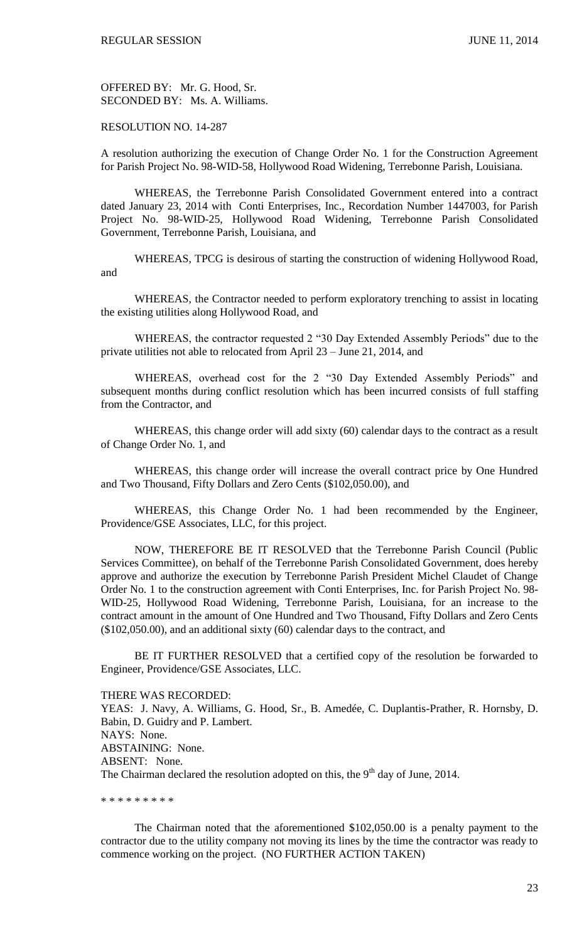OFFERED BY: Mr. G. Hood, Sr. SECONDED BY: Ms. A. Williams.

RESOLUTION NO. 14-287

A resolution authorizing the execution of Change Order No. 1 for the Construction Agreement for Parish Project No. 98-WID-58, Hollywood Road Widening, Terrebonne Parish, Louisiana.

WHEREAS, the Terrebonne Parish Consolidated Government entered into a contract dated January 23, 2014 with Conti Enterprises, Inc., Recordation Number 1447003, for Parish Project No. 98-WID-25, Hollywood Road Widening, Terrebonne Parish Consolidated Government, Terrebonne Parish, Louisiana, and

WHEREAS, TPCG is desirous of starting the construction of widening Hollywood Road, and

WHEREAS, the Contractor needed to perform exploratory trenching to assist in locating the existing utilities along Hollywood Road, and

WHEREAS, the contractor requested 2 "30 Day Extended Assembly Periods" due to the private utilities not able to relocated from April 23 – June 21, 2014, and

WHEREAS, overhead cost for the 2 "30 Day Extended Assembly Periods" and subsequent months during conflict resolution which has been incurred consists of full staffing from the Contractor, and

WHEREAS, this change order will add sixty (60) calendar days to the contract as a result of Change Order No. 1, and

WHEREAS, this change order will increase the overall contract price by One Hundred and Two Thousand, Fifty Dollars and Zero Cents (\$102,050.00), and

WHEREAS, this Change Order No. 1 had been recommended by the Engineer, Providence/GSE Associates, LLC, for this project.

NOW, THEREFORE BE IT RESOLVED that the Terrebonne Parish Council (Public Services Committee), on behalf of the Terrebonne Parish Consolidated Government, does hereby approve and authorize the execution by Terrebonne Parish President Michel Claudet of Change Order No. 1 to the construction agreement with Conti Enterprises, Inc. for Parish Project No. 98- WID-25, Hollywood Road Widening, Terrebonne Parish, Louisiana, for an increase to the contract amount in the amount of One Hundred and Two Thousand, Fifty Dollars and Zero Cents (\$102,050.00), and an additional sixty (60) calendar days to the contract, and

BE IT FURTHER RESOLVED that a certified copy of the resolution be forwarded to Engineer, Providence/GSE Associates, LLC.

#### THERE WAS RECORDED:

YEAS: J. Navy, A. Williams, G. Hood, Sr., B. Amedée, C. Duplantis-Prather, R. Hornsby, D. Babin, D. Guidry and P. Lambert. NAYS: None. ABSTAINING: None. ABSENT: None. The Chairman declared the resolution adopted on this, the  $9<sup>th</sup>$  day of June, 2014.

\* \* \* \* \* \* \* \* \*

The Chairman noted that the aforementioned \$102,050.00 is a penalty payment to the contractor due to the utility company not moving its lines by the time the contractor was ready to commence working on the project. (NO FURTHER ACTION TAKEN)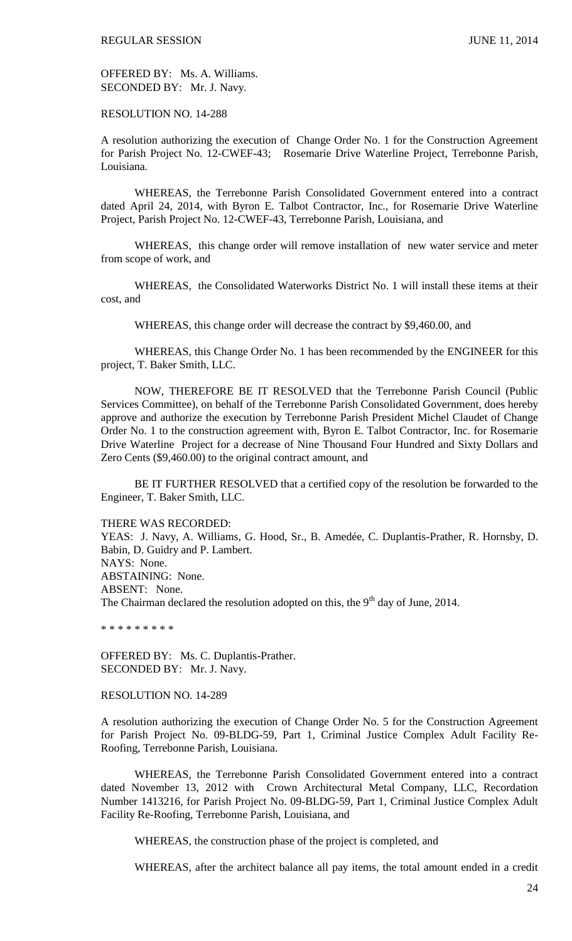OFFERED BY: Ms. A. Williams. SECONDED BY: Mr. J. Navy.

### RESOLUTION NO. 14-288

A resolution authorizing the execution of Change Order No. 1 for the Construction Agreement for Parish Project No. 12-CWEF-43; Rosemarie Drive Waterline Project, Terrebonne Parish, Louisiana.

WHEREAS, the Terrebonne Parish Consolidated Government entered into a contract dated April 24, 2014, with Byron E. Talbot Contractor, Inc., for Rosemarie Drive Waterline Project, Parish Project No. 12-CWEF-43, Terrebonne Parish, Louisiana, and

WHEREAS, this change order will remove installation of new water service and meter from scope of work, and

WHEREAS, the Consolidated Waterworks District No. 1 will install these items at their cost, and

WHEREAS, this change order will decrease the contract by \$9,460.00, and

WHEREAS, this Change Order No. 1 has been recommended by the ENGINEER for this project, T. Baker Smith, LLC.

NOW, THEREFORE BE IT RESOLVED that the Terrebonne Parish Council (Public Services Committee), on behalf of the Terrebonne Parish Consolidated Government, does hereby approve and authorize the execution by Terrebonne Parish President Michel Claudet of Change Order No. 1 to the construction agreement with, Byron E. Talbot Contractor, Inc. for Rosemarie Drive Waterline Project for a decrease of Nine Thousand Four Hundred and Sixty Dollars and Zero Cents (\$9,460.00) to the original contract amount, and

BE IT FURTHER RESOLVED that a certified copy of the resolution be forwarded to the Engineer, T. Baker Smith, LLC.

THERE WAS RECORDED:

YEAS: J. Navy, A. Williams, G. Hood, Sr., B. Amedée, C. Duplantis-Prather, R. Hornsby, D. Babin, D. Guidry and P. Lambert. NAYS: None. ABSTAINING: None. ABSENT: None. The Chairman declared the resolution adopted on this, the  $9<sup>th</sup>$  day of June, 2014.

\* \* \* \* \* \* \* \* \*

OFFERED BY: Ms. C. Duplantis-Prather. SECONDED BY: Mr. J. Navy.

RESOLUTION NO. 14-289

A resolution authorizing the execution of Change Order No. 5 for the Construction Agreement for Parish Project No. 09-BLDG-59, Part 1, Criminal Justice Complex Adult Facility Re-Roofing, Terrebonne Parish, Louisiana.

WHEREAS, the Terrebonne Parish Consolidated Government entered into a contract dated November 13, 2012 with Crown Architectural Metal Company, LLC, Recordation Number 1413216, for Parish Project No. 09-BLDG-59, Part 1, Criminal Justice Complex Adult Facility Re-Roofing, Terrebonne Parish, Louisiana, and

WHEREAS, the construction phase of the project is completed, and

WHEREAS, after the architect balance all pay items, the total amount ended in a credit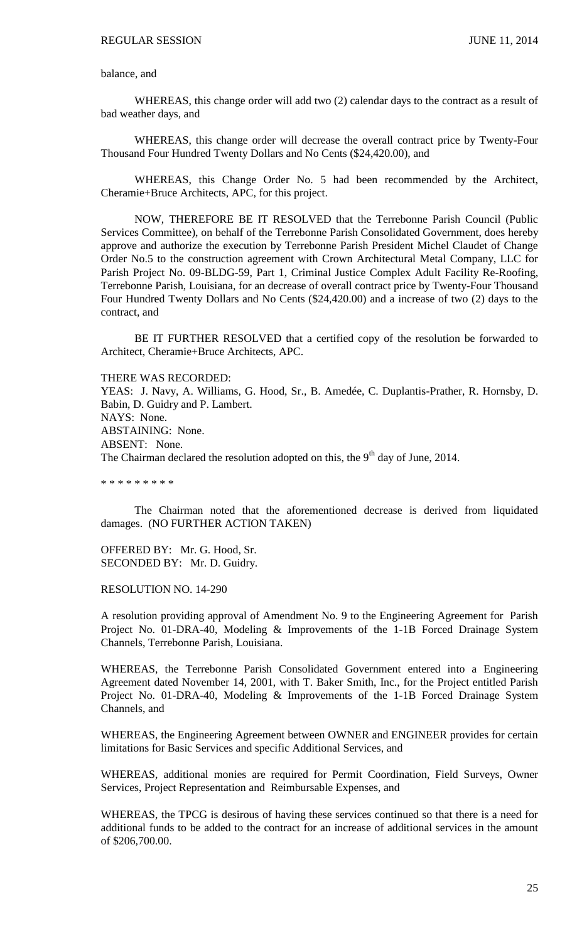## balance, and

WHEREAS, this change order will add two (2) calendar days to the contract as a result of bad weather days, and

WHEREAS, this change order will decrease the overall contract price by Twenty-Four Thousand Four Hundred Twenty Dollars and No Cents (\$24,420.00), and

WHEREAS, this Change Order No. 5 had been recommended by the Architect, Cheramie+Bruce Architects, APC, for this project.

NOW, THEREFORE BE IT RESOLVED that the Terrebonne Parish Council (Public Services Committee), on behalf of the Terrebonne Parish Consolidated Government, does hereby approve and authorize the execution by Terrebonne Parish President Michel Claudet of Change Order No.5 to the construction agreement with Crown Architectural Metal Company, LLC for Parish Project No. 09-BLDG-59, Part 1, Criminal Justice Complex Adult Facility Re-Roofing, Terrebonne Parish, Louisiana, for an decrease of overall contract price by Twenty-Four Thousand Four Hundred Twenty Dollars and No Cents (\$24,420.00) and a increase of two (2) days to the contract, and

BE IT FURTHER RESOLVED that a certified copy of the resolution be forwarded to Architect, Cheramie+Bruce Architects, APC.

#### THERE WAS RECORDED:

YEAS: J. Navy, A. Williams, G. Hood, Sr., B. Amedée, C. Duplantis-Prather, R. Hornsby, D. Babin, D. Guidry and P. Lambert. NAYS: None. ABSTAINING: None. ABSENT: None. The Chairman declared the resolution adopted on this, the  $9<sup>th</sup>$  day of June, 2014.

\* \* \* \* \* \* \* \* \*

The Chairman noted that the aforementioned decrease is derived from liquidated damages. (NO FURTHER ACTION TAKEN)

OFFERED BY: Mr. G. Hood, Sr. SECONDED BY: Mr. D. Guidry.

RESOLUTION NO. 14-290

A resolution providing approval of Amendment No. 9 to the Engineering Agreement for Parish Project No. 01-DRA-40, Modeling & Improvements of the 1-1B Forced Drainage System Channels, Terrebonne Parish, Louisiana.

WHEREAS, the Terrebonne Parish Consolidated Government entered into a Engineering Agreement dated November 14, 2001, with T. Baker Smith, Inc., for the Project entitled Parish Project No. 01-DRA-40, Modeling & Improvements of the 1-1B Forced Drainage System Channels, and

WHEREAS, the Engineering Agreement between OWNER and ENGINEER provides for certain limitations for Basic Services and specific Additional Services, and

WHEREAS, additional monies are required for Permit Coordination, Field Surveys, Owner Services, Project Representation and Reimbursable Expenses, and

WHEREAS, the TPCG is desirous of having these services continued so that there is a need for additional funds to be added to the contract for an increase of additional services in the amount of \$206,700.00.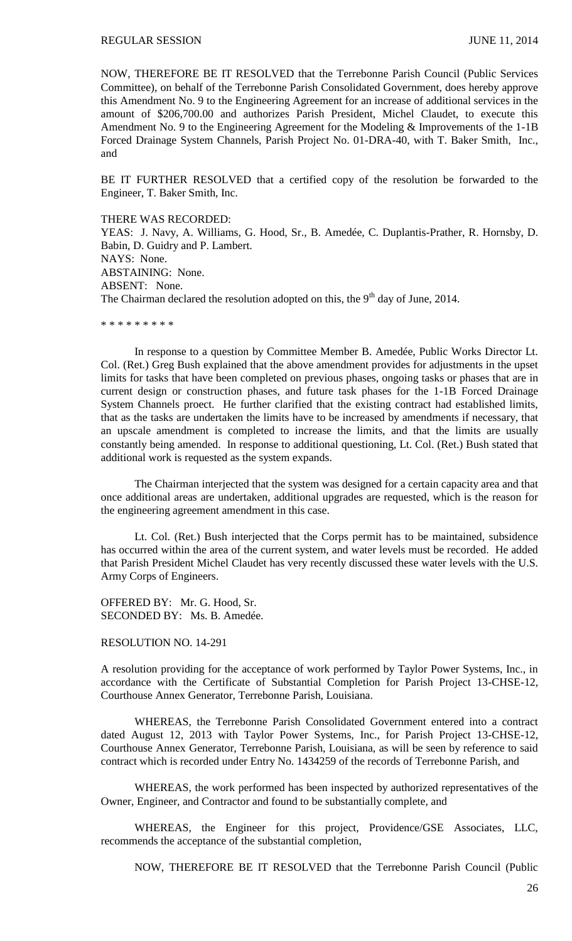NOW, THEREFORE BE IT RESOLVED that the Terrebonne Parish Council (Public Services Committee), on behalf of the Terrebonne Parish Consolidated Government, does hereby approve this Amendment No. 9 to the Engineering Agreement for an increase of additional services in the amount of \$206,700.00 and authorizes Parish President, Michel Claudet, to execute this Amendment No. 9 to the Engineering Agreement for the Modeling & Improvements of the 1-1B Forced Drainage System Channels, Parish Project No. 01-DRA-40, with T. Baker Smith, Inc., and

BE IT FURTHER RESOLVED that a certified copy of the resolution be forwarded to the Engineer, T. Baker Smith, Inc.

THERE WAS RECORDED:

YEAS: J. Navy, A. Williams, G. Hood, Sr., B. Amedée, C. Duplantis-Prather, R. Hornsby, D. Babin, D. Guidry and P. Lambert. NAYS: None. ABSTAINING: None. ABSENT: None. The Chairman declared the resolution adopted on this, the  $9<sup>th</sup>$  day of June, 2014.

\* \* \* \* \* \* \* \* \*

In response to a question by Committee Member B. Amedée, Public Works Director Lt. Col. (Ret.) Greg Bush explained that the above amendment provides for adjustments in the upset limits for tasks that have been completed on previous phases, ongoing tasks or phases that are in current design or construction phases, and future task phases for the 1-1B Forced Drainage System Channels proect. He further clarified that the existing contract had established limits, that as the tasks are undertaken the limits have to be increased by amendments if necessary, that an upscale amendment is completed to increase the limits, and that the limits are usually constantly being amended. In response to additional questioning, Lt. Col. (Ret.) Bush stated that additional work is requested as the system expands.

The Chairman interjected that the system was designed for a certain capacity area and that once additional areas are undertaken, additional upgrades are requested, which is the reason for the engineering agreement amendment in this case.

Lt. Col. (Ret.) Bush interjected that the Corps permit has to be maintained, subsidence has occurred within the area of the current system, and water levels must be recorded. He added that Parish President Michel Claudet has very recently discussed these water levels with the U.S. Army Corps of Engineers.

OFFERED BY: Mr. G. Hood, Sr. SECONDED BY: Ms. B. Amedée.

RESOLUTION NO. 14-291

A resolution providing for the acceptance of work performed by Taylor Power Systems, Inc., in accordance with the Certificate of Substantial Completion for Parish Project 13-CHSE-12, Courthouse Annex Generator, Terrebonne Parish, Louisiana.

WHEREAS, the Terrebonne Parish Consolidated Government entered into a contract dated August 12, 2013 with Taylor Power Systems, Inc., for Parish Project 13-CHSE-12, Courthouse Annex Generator, Terrebonne Parish, Louisiana, as will be seen by reference to said contract which is recorded under Entry No. 1434259 of the records of Terrebonne Parish, and

WHEREAS, the work performed has been inspected by authorized representatives of the Owner, Engineer, and Contractor and found to be substantially complete, and

WHEREAS, the Engineer for this project, Providence/GSE Associates, LLC, recommends the acceptance of the substantial completion,

NOW, THEREFORE BE IT RESOLVED that the Terrebonne Parish Council (Public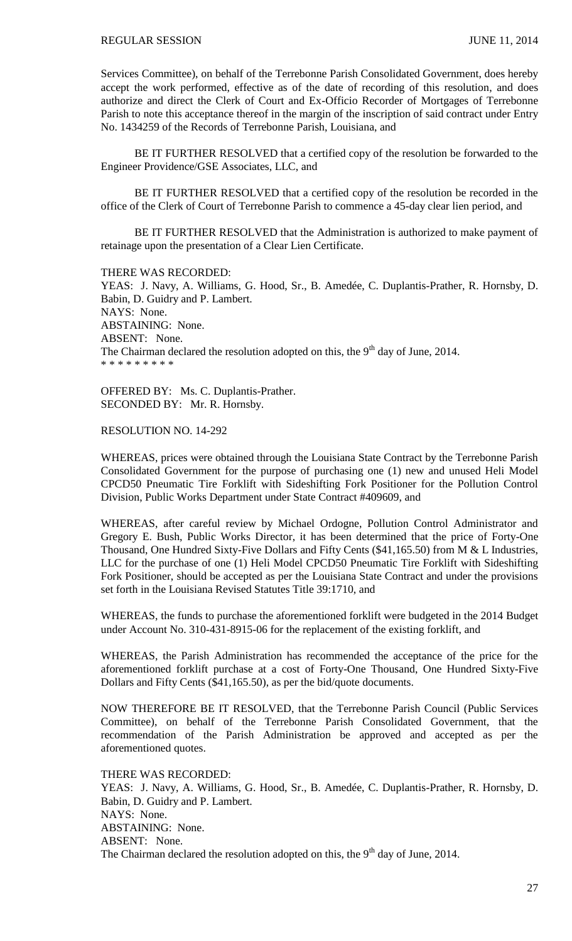Services Committee), on behalf of the Terrebonne Parish Consolidated Government, does hereby accept the work performed, effective as of the date of recording of this resolution, and does authorize and direct the Clerk of Court and Ex-Officio Recorder of Mortgages of Terrebonne Parish to note this acceptance thereof in the margin of the inscription of said contract under Entry No. 1434259 of the Records of Terrebonne Parish, Louisiana, and

BE IT FURTHER RESOLVED that a certified copy of the resolution be forwarded to the Engineer Providence/GSE Associates, LLC, and

BE IT FURTHER RESOLVED that a certified copy of the resolution be recorded in the office of the Clerk of Court of Terrebonne Parish to commence a 45-day clear lien period, and

BE IT FURTHER RESOLVED that the Administration is authorized to make payment of retainage upon the presentation of a Clear Lien Certificate.

THERE WAS RECORDED:

YEAS: J. Navy, A. Williams, G. Hood, Sr., B. Amedée, C. Duplantis-Prather, R. Hornsby, D. Babin, D. Guidry and P. Lambert. NAYS: None. ABSTAINING: None. ABSENT: None. The Chairman declared the resolution adopted on this, the  $9<sup>th</sup>$  day of June, 2014. \* \* \* \* \* \* \* \* \*

OFFERED BY: Ms. C. Duplantis-Prather. SECONDED BY: Mr. R. Hornsby.

## RESOLUTION NO. 14-292

WHEREAS, prices were obtained through the Louisiana State Contract by the Terrebonne Parish Consolidated Government for the purpose of purchasing one (1) new and unused Heli Model CPCD50 Pneumatic Tire Forklift with Sideshifting Fork Positioner for the Pollution Control Division, Public Works Department under State Contract #409609, and

WHEREAS, after careful review by Michael Ordogne, Pollution Control Administrator and Gregory E. Bush, Public Works Director, it has been determined that the price of Forty-One Thousand, One Hundred Sixty-Five Dollars and Fifty Cents (\$41,165.50) from M & L Industries, LLC for the purchase of one (1) Heli Model CPCD50 Pneumatic Tire Forklift with Sideshifting Fork Positioner, should be accepted as per the Louisiana State Contract and under the provisions set forth in the Louisiana Revised Statutes Title 39:1710, and

WHEREAS, the funds to purchase the aforementioned forklift were budgeted in the 2014 Budget under Account No. 310-431-8915-06 for the replacement of the existing forklift, and

WHEREAS, the Parish Administration has recommended the acceptance of the price for the aforementioned forklift purchase at a cost of Forty-One Thousand, One Hundred Sixty-Five Dollars and Fifty Cents (\$41,165.50), as per the bid/quote documents.

NOW THEREFORE BE IT RESOLVED, that the Terrebonne Parish Council (Public Services Committee), on behalf of the Terrebonne Parish Consolidated Government, that the recommendation of the Parish Administration be approved and accepted as per the aforementioned quotes.

## THERE WAS RECORDED:

YEAS: J. Navy, A. Williams, G. Hood, Sr., B. Amedée, C. Duplantis-Prather, R. Hornsby, D. Babin, D. Guidry and P. Lambert. NAYS: None. ABSTAINING: None. ABSENT: None. The Chairman declared the resolution adopted on this, the  $9<sup>th</sup>$  day of June, 2014.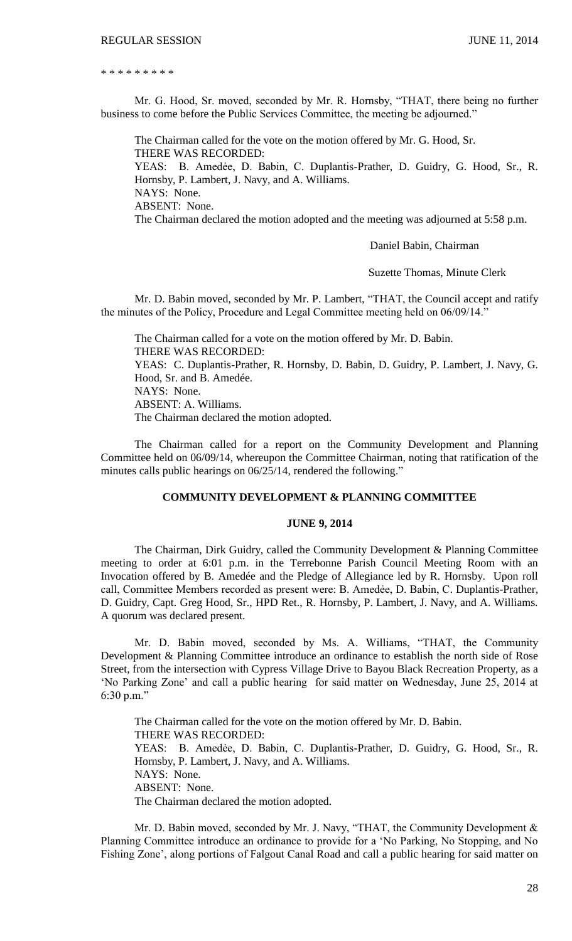\* \* \* \* \* \* \* \* \*

Mr. G. Hood, Sr. moved, seconded by Mr. R. Hornsby, "THAT, there being no further business to come before the Public Services Committee, the meeting be adjourned."

The Chairman called for the vote on the motion offered by Mr. G. Hood, Sr. THERE WAS RECORDED: YEAS: B. Amedẻe, D. Babin, C. Duplantis-Prather, D. Guidry, G. Hood, Sr., R.

Hornsby, P. Lambert, J. Navy, and A. Williams. NAYS: None.

ABSENT: None.

The Chairman declared the motion adopted and the meeting was adjourned at 5:58 p.m.

Daniel Babin, Chairman

Suzette Thomas, Minute Clerk

Mr. D. Babin moved, seconded by Mr. P. Lambert, "THAT, the Council accept and ratify the minutes of the Policy, Procedure and Legal Committee meeting held on 06/09/14."

The Chairman called for a vote on the motion offered by Mr. D. Babin. THERE WAS RECORDED: YEAS: C. Duplantis-Prather, R. Hornsby, D. Babin, D. Guidry, P. Lambert, J. Navy, G. Hood, Sr. and B. Amedée. NAYS: None. ABSENT: A. Williams. The Chairman declared the motion adopted.

The Chairman called for a report on the Community Development and Planning Committee held on 06/09/14, whereupon the Committee Chairman, noting that ratification of the minutes calls public hearings on 06/25/14, rendered the following."

## **COMMUNITY DEVELOPMENT & PLANNING COMMITTEE**

#### **JUNE 9, 2014**

The Chairman, Dirk Guidry, called the Community Development & Planning Committee meeting to order at 6:01 p.m. in the Terrebonne Parish Council Meeting Room with an Invocation offered by B. Amedée and the Pledge of Allegiance led by R. Hornsby. Upon roll call, Committee Members recorded as present were: B. Amedẻe, D. Babin, C. Duplantis-Prather, D. Guidry, Capt. Greg Hood, Sr., HPD Ret., R. Hornsby, P. Lambert, J. Navy, and A. Williams. A quorum was declared present.

Mr. D. Babin moved, seconded by Ms. A. Williams, "THAT, the Community Development & Planning Committee introduce an ordinance to establish the north side of Rose Street, from the intersection with Cypress Village Drive to Bayou Black Recreation Property, as a 'No Parking Zone' and call a public hearing for said matter on Wednesday, June 25, 2014 at 6:30 p.m."

The Chairman called for the vote on the motion offered by Mr. D. Babin. THERE WAS RECORDED: YEAS: B. Amedẻe, D. Babin, C. Duplantis-Prather, D. Guidry, G. Hood, Sr., R. Hornsby, P. Lambert, J. Navy, and A. Williams. NAYS: None. ABSENT: None. The Chairman declared the motion adopted.

Mr. D. Babin moved, seconded by Mr. J. Navy, "THAT, the Community Development & Planning Committee introduce an ordinance to provide for a 'No Parking, No Stopping, and No Fishing Zone', along portions of Falgout Canal Road and call a public hearing for said matter on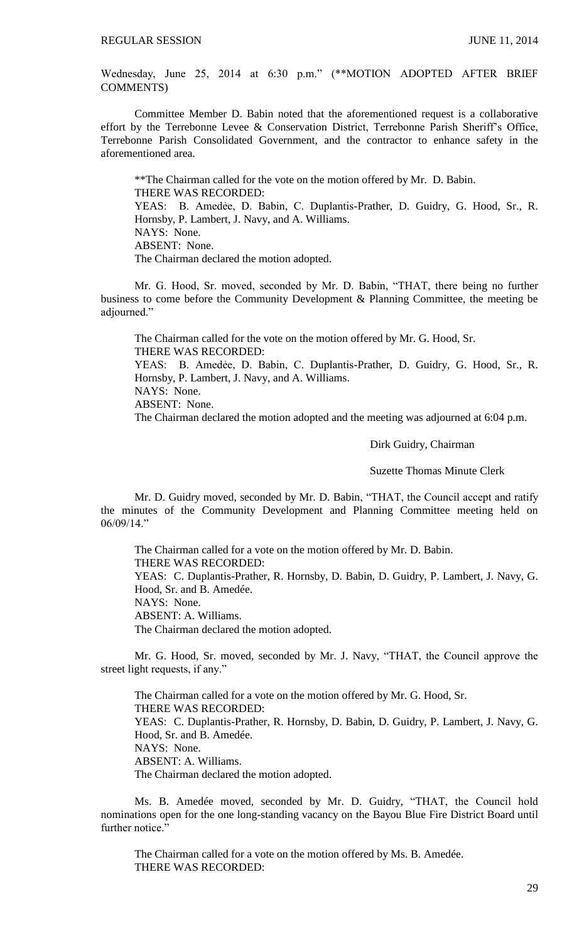Wednesday, June 25, 2014 at 6:30 p.m." (\*\*MOTION ADOPTED AFTER BRIEF COMMENTS)

Committee Member D. Babin noted that the aforementioned request is a collaborative effort by the Terrebonne Levee & Conservation District, Terrebonne Parish Sheriff's Office, Terrebonne Parish Consolidated Government, and the contractor to enhance safety in the aforementioned area.

\*\*The Chairman called for the vote on the motion offered by Mr. D. Babin. THERE WAS RECORDED: YEAS: B. Amedẻe, D. Babin, C. Duplantis-Prather, D. Guidry, G. Hood, Sr., R. Hornsby, P. Lambert, J. Navy, and A. Williams. NAYS: None. ABSENT: None. The Chairman declared the motion adopted.

Mr. G. Hood, Sr. moved, seconded by Mr. D. Babin, "THAT, there being no further business to come before the Community Development & Planning Committee, the meeting be adjourned."

The Chairman called for the vote on the motion offered by Mr. G. Hood, Sr. THERE WAS RECORDED: YEAS: B. Amedẻe, D. Babin, C. Duplantis-Prather, D. Guidry, G. Hood, Sr., R. Hornsby, P. Lambert, J. Navy, and A. Williams. NAYS: None.

ABSENT: None.

The Chairman declared the motion adopted and the meeting was adjourned at 6:04 p.m.

Dirk Guidry, Chairman

Suzette Thomas Minute Clerk

Mr. D. Guidry moved, seconded by Mr. D. Babin, "THAT, the Council accept and ratify the minutes of the Community Development and Planning Committee meeting held on 06/09/14."

The Chairman called for a vote on the motion offered by Mr. D. Babin. THERE WAS RECORDED: YEAS: C. Duplantis-Prather, R. Hornsby, D. Babin, D. Guidry, P. Lambert, J. Navy, G. Hood, Sr. and B. Amedée. NAYS: None. ABSENT: A. Williams. The Chairman declared the motion adopted.

Mr. G. Hood, Sr. moved, seconded by Mr. J. Navy, "THAT, the Council approve the street light requests, if any."

The Chairman called for a vote on the motion offered by Mr. G. Hood, Sr. THERE WAS RECORDED: YEAS: C. Duplantis-Prather, R. Hornsby, D. Babin, D. Guidry, P. Lambert, J. Navy, G. Hood, Sr. and B. Amedée. NAYS: None. ABSENT: A. Williams. The Chairman declared the motion adopted.

Ms. B. Amedée moved, seconded by Mr. D. Guidry, "THAT, the Council hold nominations open for the one long-standing vacancy on the Bayou Blue Fire District Board until further notice."

The Chairman called for a vote on the motion offered by Ms. B. Amedée. THERE WAS RECORDED: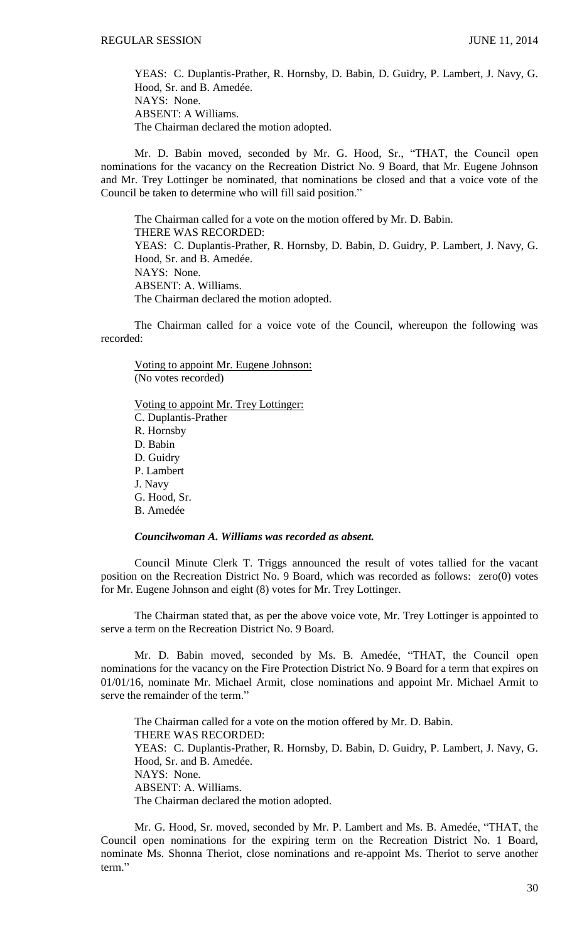YEAS: C. Duplantis-Prather, R. Hornsby, D. Babin, D. Guidry, P. Lambert, J. Navy, G. Hood, Sr. and B. Amedée. NAYS: None. ABSENT: A Williams. The Chairman declared the motion adopted.

Mr. D. Babin moved, seconded by Mr. G. Hood, Sr., "THAT, the Council open nominations for the vacancy on the Recreation District No. 9 Board, that Mr. Eugene Johnson and Mr. Trey Lottinger be nominated, that nominations be closed and that a voice vote of the Council be taken to determine who will fill said position."

The Chairman called for a vote on the motion offered by Mr. D. Babin. THERE WAS RECORDED: YEAS: C. Duplantis-Prather, R. Hornsby, D. Babin, D. Guidry, P. Lambert, J. Navy, G. Hood, Sr. and B. Amedée. NAYS: None. ABSENT: A. Williams. The Chairman declared the motion adopted.

The Chairman called for a voice vote of the Council, whereupon the following was recorded:

Voting to appoint Mr. Eugene Johnson: (No votes recorded)

Voting to appoint Mr. Trey Lottinger: C. Duplantis-Prather R. Hornsby D. Babin D. Guidry P. Lambert J. Navy G. Hood, Sr. B. Amedée

## *Councilwoman A. Williams was recorded as absent.*

Council Minute Clerk T. Triggs announced the result of votes tallied for the vacant position on the Recreation District No. 9 Board, which was recorded as follows: zero(0) votes for Mr. Eugene Johnson and eight (8) votes for Mr. Trey Lottinger.

The Chairman stated that, as per the above voice vote, Mr. Trey Lottinger is appointed to serve a term on the Recreation District No. 9 Board.

Mr. D. Babin moved, seconded by Ms. B. Amedée, "THAT, the Council open nominations for the vacancy on the Fire Protection District No. 9 Board for a term that expires on 01/01/16, nominate Mr. Michael Armit, close nominations and appoint Mr. Michael Armit to serve the remainder of the term."

The Chairman called for a vote on the motion offered by Mr. D. Babin. THERE WAS RECORDED: YEAS: C. Duplantis-Prather, R. Hornsby, D. Babin, D. Guidry, P. Lambert, J. Navy, G. Hood, Sr. and B. Amedée. NAYS: None. ABSENT: A. Williams. The Chairman declared the motion adopted.

Mr. G. Hood, Sr. moved, seconded by Mr. P. Lambert and Ms. B. Amedée, "THAT, the Council open nominations for the expiring term on the Recreation District No. 1 Board, nominate Ms. Shonna Theriot, close nominations and re-appoint Ms. Theriot to serve another term."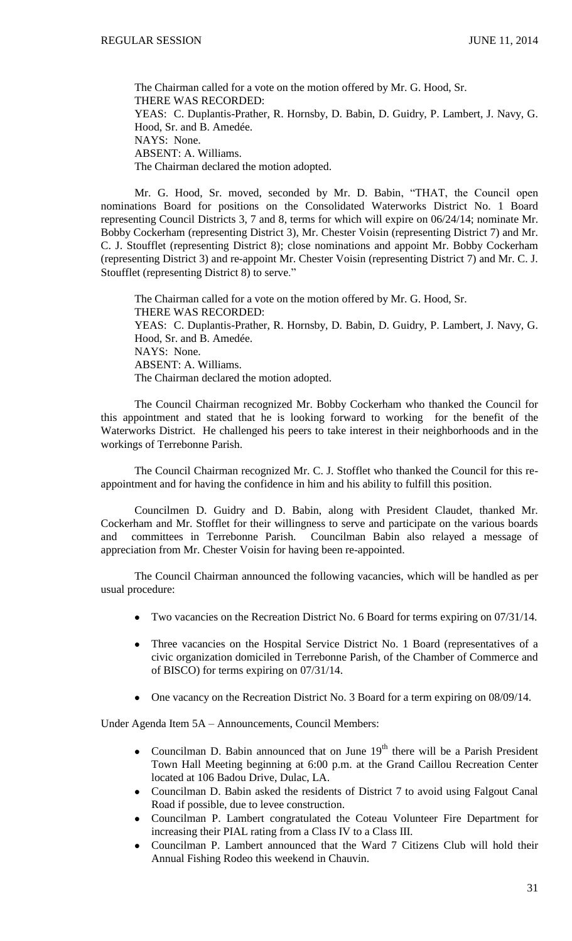The Chairman called for a vote on the motion offered by Mr. G. Hood, Sr. THERE WAS RECORDED: YEAS: C. Duplantis-Prather, R. Hornsby, D. Babin, D. Guidry, P. Lambert, J. Navy, G. Hood, Sr. and B. Amedée. NAYS: None. ABSENT: A. Williams. The Chairman declared the motion adopted.

Mr. G. Hood, Sr. moved, seconded by Mr. D. Babin, "THAT, the Council open nominations Board for positions on the Consolidated Waterworks District No. 1 Board representing Council Districts 3, 7 and 8, terms for which will expire on 06/24/14; nominate Mr. Bobby Cockerham (representing District 3), Mr. Chester Voisin (representing District 7) and Mr. C. J. Stoufflet (representing District 8); close nominations and appoint Mr. Bobby Cockerham (representing District 3) and re-appoint Mr. Chester Voisin (representing District 7) and Mr. C. J. Stoufflet (representing District 8) to serve."

The Chairman called for a vote on the motion offered by Mr. G. Hood, Sr. THERE WAS RECORDED: YEAS: C. Duplantis-Prather, R. Hornsby, D. Babin, D. Guidry, P. Lambert, J. Navy, G. Hood, Sr. and B. Amedée. NAYS: None. ABSENT: A. Williams. The Chairman declared the motion adopted.

The Council Chairman recognized Mr. Bobby Cockerham who thanked the Council for this appointment and stated that he is looking forward to working for the benefit of the Waterworks District. He challenged his peers to take interest in their neighborhoods and in the workings of Terrebonne Parish.

The Council Chairman recognized Mr. C. J. Stofflet who thanked the Council for this reappointment and for having the confidence in him and his ability to fulfill this position.

Councilmen D. Guidry and D. Babin, along with President Claudet, thanked Mr. Cockerham and Mr. Stofflet for their willingness to serve and participate on the various boards and committees in Terrebonne Parish. Councilman Babin also relayed a message of appreciation from Mr. Chester Voisin for having been re-appointed.

The Council Chairman announced the following vacancies, which will be handled as per usual procedure:

- Two vacancies on the Recreation District No. 6 Board for terms expiring on 07/31/14.
- Three vacancies on the Hospital Service District No. 1 Board (representatives of a civic organization domiciled in Terrebonne Parish, of the Chamber of Commerce and of BISCO) for terms expiring on 07/31/14.
- One vacancy on the Recreation District No. 3 Board for a term expiring on 08/09/14.

Under Agenda Item 5A – Announcements, Council Members:

- Councilman D. Babin announced that on June  $19<sup>th</sup>$  there will be a Parish President Town Hall Meeting beginning at 6:00 p.m. at the Grand Caillou Recreation Center located at 106 Badou Drive, Dulac, LA.
- Councilman D. Babin asked the residents of District 7 to avoid using Falgout Canal Road if possible, due to levee construction.
- Councilman P. Lambert congratulated the Coteau Volunteer Fire Department for  $\bullet$ increasing their PIAL rating from a Class IV to a Class III.
- Councilman P. Lambert announced that the Ward 7 Citizens Club will hold their  $\bullet$ Annual Fishing Rodeo this weekend in Chauvin.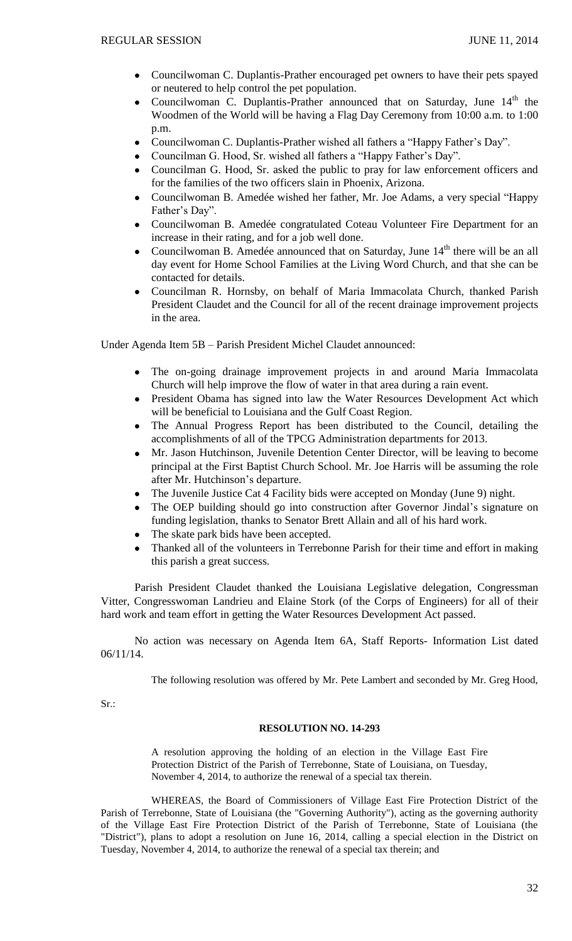- Councilwoman C. Duplantis-Prather encouraged pet owners to have their pets spayed  $\bullet$ or neutered to help control the pet population.
- Councilwoman C. Duplantis-Prather announced that on Saturday, June 14<sup>th</sup> the  $\bullet$ Woodmen of the World will be having a Flag Day Ceremony from 10:00 a.m. to 1:00 p.m.
- $\bullet$ Councilwoman C. Duplantis-Prather wished all fathers a "Happy Father's Day".
- Councilman G. Hood, Sr. wished all fathers a "Happy Father's Day".
- Councilman G. Hood, Sr. asked the public to pray for law enforcement officers and for the families of the two officers slain in Phoenix, Arizona.
- Councilwoman B. Amedée wished her father, Mr. Joe Adams, a very special "Happy Father's Day".
- Councilwoman B. Amedée congratulated Coteau Volunteer Fire Department for an increase in their rating, and for a job well done.
- Councilwoman B. Amedée announced that on Saturday, June 14<sup>th</sup> there will be an all day event for Home School Families at the Living Word Church, and that she can be contacted for details.
- Councilman R. Hornsby, on behalf of Maria Immacolata Church, thanked Parish President Claudet and the Council for all of the recent drainage improvement projects in the area.

Under Agenda Item 5B – Parish President Michel Claudet announced:

- The on-going drainage improvement projects in and around Maria Immacolata Church will help improve the flow of water in that area during a rain event.
- $\bullet$ President Obama has signed into law the Water Resources Development Act which will be beneficial to Louisiana and the Gulf Coast Region.
- The Annual Progress Report has been distributed to the Council, detailing the accomplishments of all of the TPCG Administration departments for 2013.
- Mr. Jason Hutchinson, Juvenile Detention Center Director, will be leaving to become principal at the First Baptist Church School. Mr. Joe Harris will be assuming the role after Mr. Hutchinson's departure.
- The Juvenile Justice Cat 4 Facility bids were accepted on Monday (June 9) night.
- The OEP building should go into construction after Governor Jindal's signature on funding legislation, thanks to Senator Brett Allain and all of his hard work.
- The skate park bids have been accepted.
- Thanked all of the volunteers in Terrebonne Parish for their time and effort in making this parish a great success.

Parish President Claudet thanked the Louisiana Legislative delegation, Congressman Vitter, Congresswoman Landrieu and Elaine Stork (of the Corps of Engineers) for all of their hard work and team effort in getting the Water Resources Development Act passed.

No action was necessary on Agenda Item 6A, Staff Reports- Information List dated 06/11/14.

The following resolution was offered by Mr. Pete Lambert and seconded by Mr. Greg Hood,

Sr.:

### **RESOLUTION NO. 14-293**

A resolution approving the holding of an election in the Village East Fire Protection District of the Parish of Terrebonne, State of Louisiana, on Tuesday, November 4, 2014, to authorize the renewal of a special tax therein.

WHEREAS, the Board of Commissioners of Village East Fire Protection District of the Parish of Terrebonne, State of Louisiana (the "Governing Authority"), acting as the governing authority of the Village East Fire Protection District of the Parish of Terrebonne, State of Louisiana (the "District"), plans to adopt a resolution on June 16, 2014, calling a special election in the District on Tuesday, November 4, 2014, to authorize the renewal of a special tax therein; and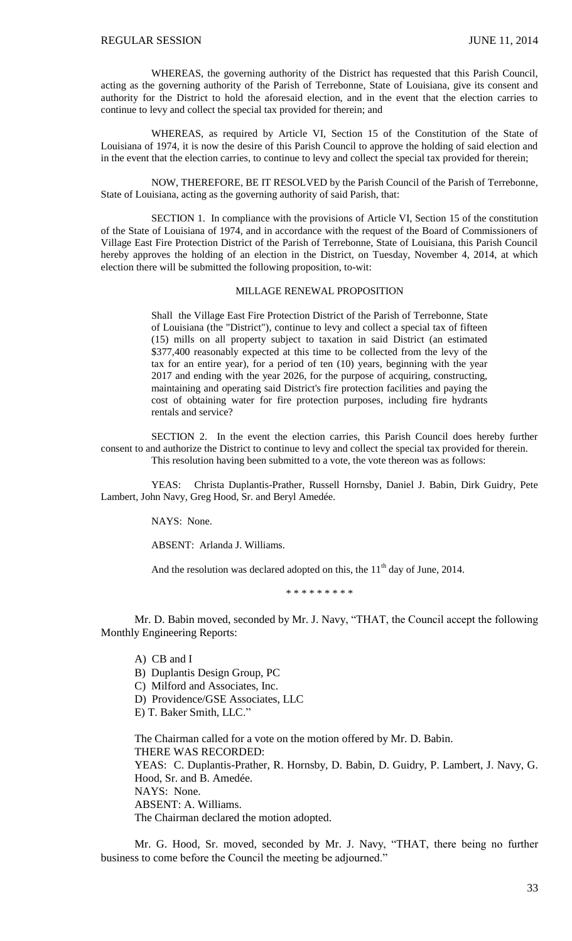WHEREAS, the governing authority of the District has requested that this Parish Council, acting as the governing authority of the Parish of Terrebonne, State of Louisiana, give its consent and authority for the District to hold the aforesaid election, and in the event that the election carries to continue to levy and collect the special tax provided for therein; and

WHEREAS, as required by Article VI, Section 15 of the Constitution of the State of Louisiana of 1974, it is now the desire of this Parish Council to approve the holding of said election and in the event that the election carries, to continue to levy and collect the special tax provided for therein;

NOW, THEREFORE, BE IT RESOLVED by the Parish Council of the Parish of Terrebonne, State of Louisiana, acting as the governing authority of said Parish, that:

SECTION 1. In compliance with the provisions of Article VI, Section 15 of the constitution of the State of Louisiana of 1974, and in accordance with the request of the Board of Commissioners of Village East Fire Protection District of the Parish of Terrebonne, State of Louisiana, this Parish Council hereby approves the holding of an election in the District, on Tuesday, November 4, 2014, at which election there will be submitted the following proposition, to-wit:

#### MILLAGE RENEWAL PROPOSITION

Shall the Village East Fire Protection District of the Parish of Terrebonne, State of Louisiana (the "District"), continue to levy and collect a special tax of fifteen (15) mills on all property subject to taxation in said District (an estimated \$377,400 reasonably expected at this time to be collected from the levy of the tax for an entire year), for a period of ten (10) years, beginning with the year 2017 and ending with the year 2026, for the purpose of acquiring, constructing, maintaining and operating said District's fire protection facilities and paying the cost of obtaining water for fire protection purposes, including fire hydrants rentals and service?

SECTION 2. In the event the election carries, this Parish Council does hereby further consent to and authorize the District to continue to levy and collect the special tax provided for therein. This resolution having been submitted to a vote, the vote thereon was as follows:

YEAS: Christa Duplantis-Prather, Russell Hornsby, Daniel J. Babin, Dirk Guidry, Pete Lambert, John Navy, Greg Hood, Sr. and Beryl Amedée.

NAYS: None.

ABSENT: Arlanda J. Williams.

And the resolution was declared adopted on this, the  $11<sup>th</sup>$  day of June, 2014.

\* \* \* \* \* \* \* \* \*

Mr. D. Babin moved, seconded by Mr. J. Navy, "THAT, the Council accept the following Monthly Engineering Reports:

A) CB and I

B) Duplantis Design Group, PC

C) Milford and Associates, Inc.

D) Providence/GSE Associates, LLC

E) T. Baker Smith, LLC."

The Chairman called for a vote on the motion offered by Mr. D. Babin. THERE WAS RECORDED: YEAS: C. Duplantis-Prather, R. Hornsby, D. Babin, D. Guidry, P. Lambert, J. Navy, G. Hood, Sr. and B. Amedée. NAYS: None. ABSENT: A. Williams. The Chairman declared the motion adopted.

Mr. G. Hood, Sr. moved, seconded by Mr. J. Navy, "THAT, there being no further business to come before the Council the meeting be adjourned."